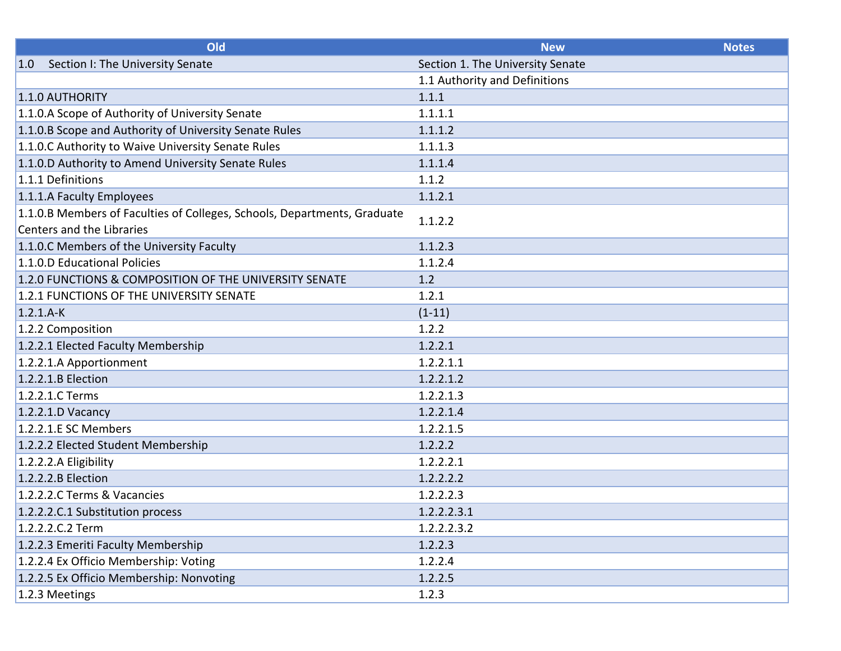| Old                                                                      | <b>New</b>                       | <b>Notes</b> |
|--------------------------------------------------------------------------|----------------------------------|--------------|
| Section I: The University Senate<br> 1.0                                 | Section 1. The University Senate |              |
|                                                                          | 1.1 Authority and Definitions    |              |
| 1.1.0 AUTHORITY                                                          | 1.1.1                            |              |
| 1.1.0.A Scope of Authority of University Senate                          | 1.1.1.1                          |              |
| 1.1.0.B Scope and Authority of University Senate Rules                   | 1.1.1.2                          |              |
| 1.1.0.C Authority to Waive University Senate Rules                       | 1.1.1.3                          |              |
| 1.1.0.D Authority to Amend University Senate Rules                       | 1.1.1.4                          |              |
| 1.1.1 Definitions                                                        | 1.1.2                            |              |
| 1.1.1.A Faculty Employees                                                | 1.1.2.1                          |              |
| 1.1.0.B Members of Faculties of Colleges, Schools, Departments, Graduate | 1.1.2.2                          |              |
| Centers and the Libraries                                                |                                  |              |
| 1.1.0.C Members of the University Faculty                                | 1.1.2.3                          |              |
| 1.1.0.D Educational Policies                                             | 1.1.2.4                          |              |
| 1.2.0 FUNCTIONS & COMPOSITION OF THE UNIVERSITY SENATE                   | 1.2                              |              |
| 1.2.1 FUNCTIONS OF THE UNIVERSITY SENATE                                 | 1.2.1                            |              |
| $1.2.1.A-K$                                                              | $(1-11)$                         |              |
| 1.2.2 Composition                                                        | 1.2.2                            |              |
| 1.2.2.1 Elected Faculty Membership                                       | 1.2.2.1                          |              |
| 1.2.2.1.A Apportionment                                                  | 1.2.2.1.1                        |              |
| $1.2.2.1.B$ Election                                                     | 1.2.2.1.2                        |              |
| 1.2.2.1.C Terms                                                          | 1.2.2.1.3                        |              |
| $1.2.2.1.D$ Vacancy                                                      | 1.2.2.1.4                        |              |
| 1.2.2.1.E SC Members                                                     | 1.2.2.1.5                        |              |
| 1.2.2.2 Elected Student Membership                                       | 1.2.2.2                          |              |
| $1.2.2.2.A$ Eligibility                                                  | 1.2.2.2.1                        |              |
| 1.2.2.2.B Election                                                       | 1.2.2.2.2                        |              |
| 1.2.2.2.C Terms & Vacancies                                              | 1.2.2.2.3                        |              |
| 1.2.2.2.C.1 Substitution process                                         | 1.2.2.2.3.1                      |              |
| 1.2.2.2.C.2 Term                                                         | 1.2.2.2.3.2                      |              |
| 1.2.2.3 Emeriti Faculty Membership                                       | 1.2.2.3                          |              |
| 1.2.2.4 Ex Officio Membership: Voting                                    | 1.2.2.4                          |              |
| 1.2.2.5 Ex Officio Membership: Nonvoting                                 | 1.2.2.5                          |              |
| 1.2.3 Meetings                                                           | 1.2.3                            |              |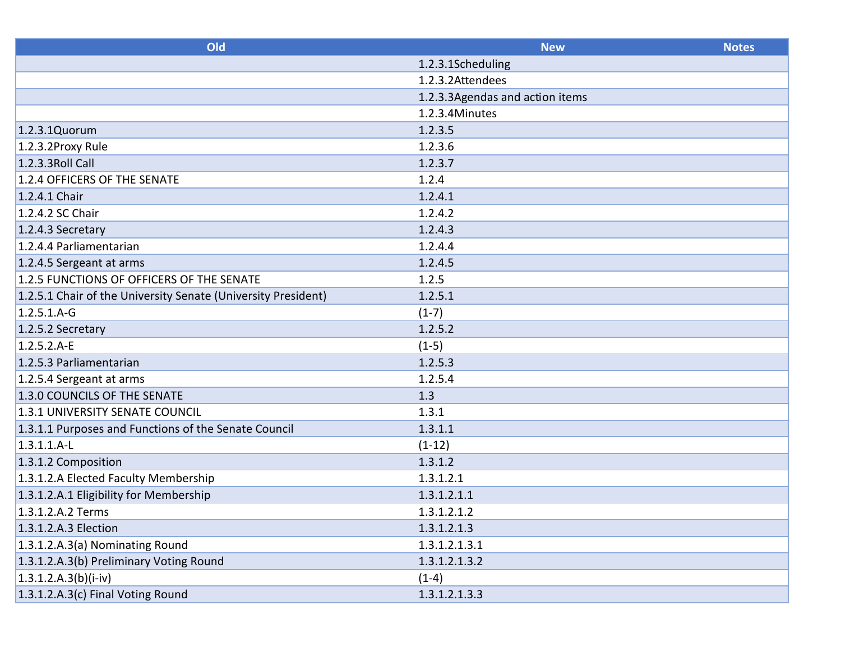| Old                                                           | <b>New</b>                      | <b>Notes</b> |
|---------------------------------------------------------------|---------------------------------|--------------|
|                                                               | 1.2.3.1Scheduling               |              |
|                                                               | 1.2.3.2Attendees                |              |
|                                                               | 1.2.3.3Agendas and action items |              |
|                                                               | 1.2.3.4Minutes                  |              |
| 1.2.3.1Quorum                                                 | 1.2.3.5                         |              |
| 1.2.3.2Proxy Rule                                             | 1.2.3.6                         |              |
| 1.2.3.3 Roll Call                                             | 1.2.3.7                         |              |
| 1.2.4 OFFICERS OF THE SENATE                                  | 1.2.4                           |              |
| 1.2.4.1 Chair                                                 | 1.2.4.1                         |              |
| 1.2.4.2 SC Chair                                              | 1.2.4.2                         |              |
| 1.2.4.3 Secretary                                             | 1.2.4.3                         |              |
| 1.2.4.4 Parliamentarian                                       | 1.2.4.4                         |              |
| 1.2.4.5 Sergeant at arms                                      | 1.2.4.5                         |              |
| 1.2.5 FUNCTIONS OF OFFICERS OF THE SENATE                     | 1.2.5                           |              |
| 1.2.5.1 Chair of the University Senate (University President) | 1.2.5.1                         |              |
| $1.2.5.1.A-G$                                                 | $(1-7)$                         |              |
| 1.2.5.2 Secretary                                             | 1.2.5.2                         |              |
| $1.2.5.2.A-E$                                                 | $(1-5)$                         |              |
| 1.2.5.3 Parliamentarian                                       | 1.2.5.3                         |              |
| 1.2.5.4 Sergeant at arms                                      | 1.2.5.4                         |              |
| 1.3.0 COUNCILS OF THE SENATE                                  | 1.3                             |              |
| 1.3.1 UNIVERSITY SENATE COUNCIL                               | 1.3.1                           |              |
| 1.3.1.1 Purposes and Functions of the Senate Council          | 1.3.1.1                         |              |
| $1.3.1.1.A-L$                                                 | $(1-12)$                        |              |
| 1.3.1.2 Composition                                           | 1.3.1.2                         |              |
| 1.3.1.2.A Elected Faculty Membership                          | 1.3.1.2.1                       |              |
| 1.3.1.2.A.1 Eligibility for Membership                        | 1.3.1.2.1.1                     |              |
| 1.3.1.2.A.2 Terms                                             | 1.3.1.2.1.2                     |              |
| 1.3.1.2.A.3 Election                                          | 1.3.1.2.1.3                     |              |
| 1.3.1.2.A.3(a) Nominating Round                               | 1.3.1.2.1.3.1                   |              |
| 1.3.1.2.A.3(b) Preliminary Voting Round                       | 1.3.1.2.1.3.2                   |              |
| $1.3.1.2.A.3(b)(i-iv)$                                        | $(1-4)$                         |              |
| 1.3.1.2.A.3(c) Final Voting Round                             | 1.3.1.2.1.3.3                   |              |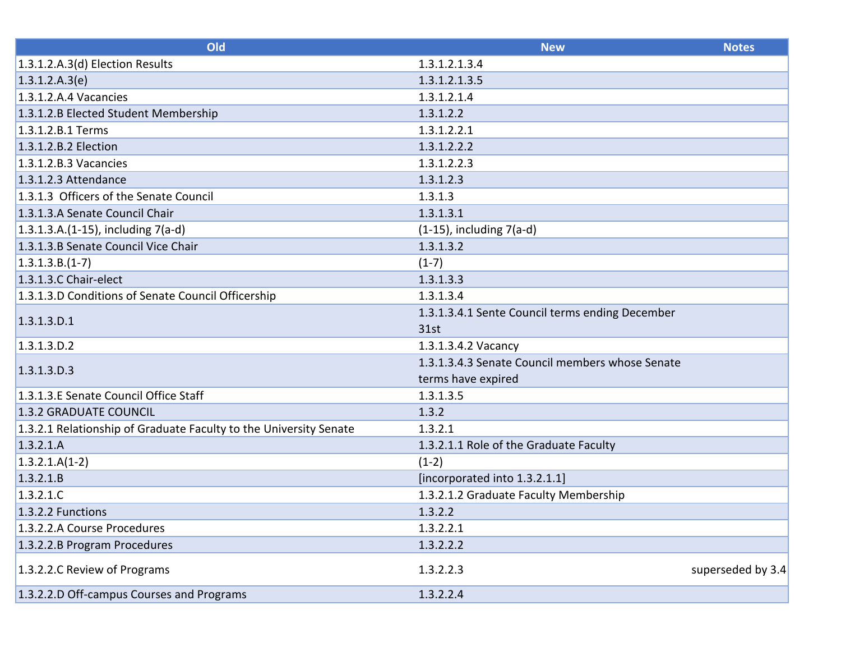| Old                                                               | <b>New</b>                                      | <b>Notes</b>      |
|-------------------------------------------------------------------|-------------------------------------------------|-------------------|
| $1.3.1.2.A.3(d)$ Election Results                                 | 1.3.1.2.1.3.4                                   |                   |
| 1.3.1.2.A.3(e)                                                    | 1.3.1.2.1.3.5                                   |                   |
| $1.3.1.2.A.4$ Vacancies                                           | 1.3.1.2.1.4                                     |                   |
| 1.3.1.2.B Elected Student Membership                              | 1.3.1.2.2                                       |                   |
| 1.3.1.2.B.1 Terms                                                 | 1.3.1.2.2.1                                     |                   |
| 1.3.1.2.B.2 Election                                              | 1.3.1.2.2.2                                     |                   |
| $1.3.1.2.8.3$ Vacancies                                           | 1.3.1.2.2.3                                     |                   |
| 1.3.1.2.3 Attendance                                              | 1.3.1.2.3                                       |                   |
| 1.3.1.3 Officers of the Senate Council                            | 1.3.1.3                                         |                   |
| 1.3.1.3.A Senate Council Chair                                    | 1.3.1.3.1                                       |                   |
| 1.3.1.3.A.(1-15), including 7(a-d)                                | $(1-15)$ , including $7(a-d)$                   |                   |
| 1.3.1.3.B Senate Council Vice Chair                               | 1.3.1.3.2                                       |                   |
| $1.3.1.3.B.(1-7)$                                                 | $(1-7)$                                         |                   |
| 1.3.1.3.C Chair-elect                                             | 1.3.1.3.3                                       |                   |
| 1.3.1.3.D Conditions of Senate Council Officership                | 1.3.1.3.4                                       |                   |
| 1.3.1.3.D.1                                                       | 1.3.1.3.4.1 Sente Council terms ending December |                   |
|                                                                   | 31st                                            |                   |
| $1.3.1.3.$ D.2                                                    | 1.3.1.3.4.2 Vacancy                             |                   |
| 1.3.1.3.D.3                                                       | 1.3.1.3.4.3 Senate Council members whose Senate |                   |
|                                                                   | terms have expired                              |                   |
| 1.3.1.3.E Senate Council Office Staff                             | 1.3.1.3.5                                       |                   |
| 1.3.2 GRADUATE COUNCIL                                            | 1.3.2                                           |                   |
| 1.3.2.1 Relationship of Graduate Faculty to the University Senate | 1.3.2.1                                         |                   |
| 1.3.2.1.A                                                         | 1.3.2.1.1 Role of the Graduate Faculty          |                   |
| $1.3.2.1.A(1-2)$                                                  | $(1-2)$                                         |                   |
| 1.3.2.1.B                                                         | [incorporated into 1.3.2.1.1]                   |                   |
| 1.3.2.1.C                                                         | 1.3.2.1.2 Graduate Faculty Membership           |                   |
| 1.3.2.2 Functions                                                 | 1.3.2.2                                         |                   |
| 1.3.2.2.A Course Procedures                                       | 1.3.2.2.1                                       |                   |
| 1.3.2.2.B Program Procedures                                      | 1.3.2.2.2                                       |                   |
| 1.3.2.2.C Review of Programs                                      | 1.3.2.2.3                                       | superseded by 3.4 |
| 1.3.2.2.D Off-campus Courses and Programs                         | 1.3.2.2.4                                       |                   |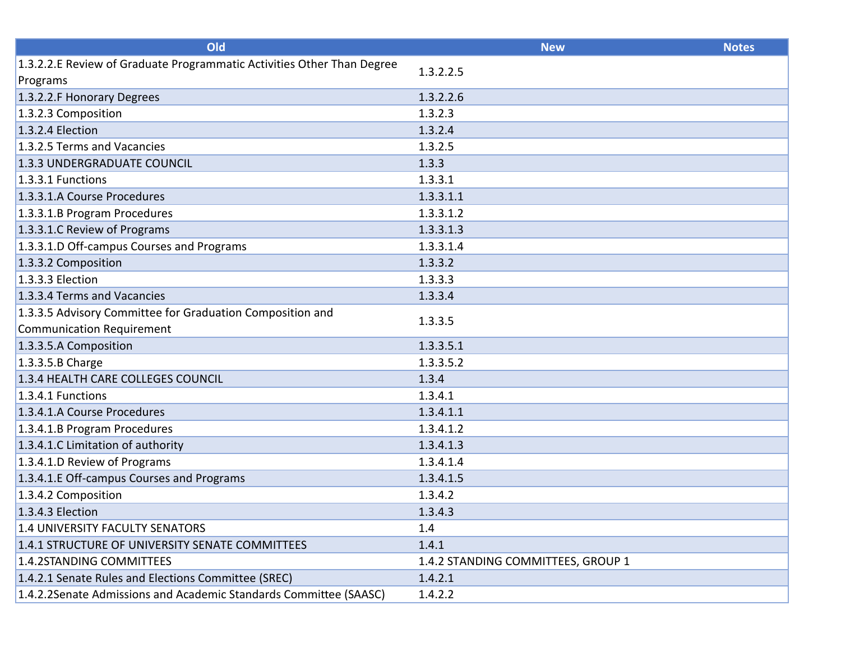| Old                                                                    | <b>New</b>                         | <b>Notes</b> |
|------------------------------------------------------------------------|------------------------------------|--------------|
| 1.3.2.2.E Review of Graduate Programmatic Activities Other Than Degree | 1.3.2.2.5                          |              |
| Programs                                                               |                                    |              |
| 1.3.2.2.F Honorary Degrees                                             | 1.3.2.2.6                          |              |
| 1.3.2.3 Composition                                                    | 1.3.2.3                            |              |
| 1.3.2.4 Election                                                       | 1.3.2.4                            |              |
| 1.3.2.5 Terms and Vacancies                                            | 1.3.2.5                            |              |
| 1.3.3 UNDERGRADUATE COUNCIL                                            | 1.3.3                              |              |
| $1.3.3.1$ Functions                                                    | 1.3.3.1                            |              |
| 1.3.3.1.A Course Procedures                                            | 1.3.3.1.1                          |              |
| 1.3.3.1.B Program Procedures                                           | 1.3.3.1.2                          |              |
| 1.3.3.1.C Review of Programs                                           | 1.3.3.1.3                          |              |
| 1.3.3.1.D Off-campus Courses and Programs                              | 1.3.3.1.4                          |              |
| 1.3.3.2 Composition                                                    | 1.3.3.2                            |              |
| $1.3.3.3$ Election                                                     | 1.3.3.3                            |              |
| 1.3.3.4 Terms and Vacancies                                            | 1.3.3.4                            |              |
| 1.3.3.5 Advisory Committee for Graduation Composition and              | 1.3.3.5                            |              |
| Communication Requirement                                              |                                    |              |
| 1.3.3.5.A Composition                                                  | 1.3.3.5.1                          |              |
| $1.3.3.5.B$ Charge                                                     | 1.3.3.5.2                          |              |
| 1.3.4 HEALTH CARE COLLEGES COUNCIL                                     | 1.3.4                              |              |
| $1.3.4.1$ Functions                                                    | 1.3.4.1                            |              |
| 1.3.4.1.A Course Procedures                                            | 1.3.4.1.1                          |              |
| 1.3.4.1.B Program Procedures                                           | 1.3.4.1.2                          |              |
| 1.3.4.1.C Limitation of authority                                      | 1.3.4.1.3                          |              |
| 1.3.4.1.D Review of Programs                                           | 1.3.4.1.4                          |              |
| 1.3.4.1.E Off-campus Courses and Programs                              | 1.3.4.1.5                          |              |
| 1.3.4.2 Composition                                                    | 1.3.4.2                            |              |
| 1.3.4.3 Election                                                       | 1.3.4.3                            |              |
| 1.4 UNIVERSITY FACULTY SENATORS                                        | 1.4                                |              |
| 1.4.1 STRUCTURE OF UNIVERSITY SENATE COMMITTEES                        | 1.4.1                              |              |
| 1.4.2STANDING COMMITTEES                                               | 1.4.2 STANDING COMMITTEES, GROUP 1 |              |
| 1.4.2.1 Senate Rules and Elections Committee (SREC)                    | 1.4.2.1                            |              |
| 1.4.2.2Senate Admissions and Academic Standards Committee (SAASC)      | 1.4.2.2                            |              |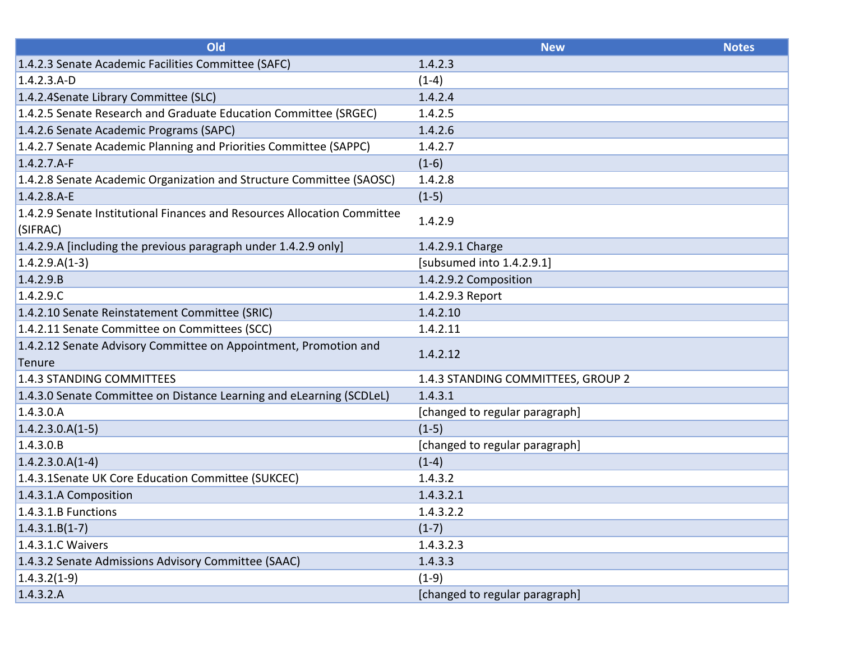| Old                                                                                  | <b>New</b>                         | <b>Notes</b> |
|--------------------------------------------------------------------------------------|------------------------------------|--------------|
| 1.4.2.3 Senate Academic Facilities Committee (SAFC)                                  | 1.4.2.3                            |              |
| $1.4.2.3.A-D$                                                                        | $(1-4)$                            |              |
| 1.4.2.4 Senate Library Committee (SLC)                                               | 1.4.2.4                            |              |
| 1.4.2.5 Senate Research and Graduate Education Committee (SRGEC)                     | 1.4.2.5                            |              |
| 1.4.2.6 Senate Academic Programs (SAPC)                                              | 1.4.2.6                            |              |
| 1.4.2.7 Senate Academic Planning and Priorities Committee (SAPPC)                    | 1.4.2.7                            |              |
| $1.4.2.7.A-F$                                                                        | $(1-6)$                            |              |
| 1.4.2.8 Senate Academic Organization and Structure Committee (SAOSC)                 | 1.4.2.8                            |              |
| $1.4.2.8.A-E$                                                                        | $(1-5)$                            |              |
| 1.4.2.9 Senate Institutional Finances and Resources Allocation Committee<br>(SIFRAC) | 1.4.2.9                            |              |
| 1.4.2.9.A [including the previous paragraph under 1.4.2.9 only]                      | 1.4.2.9.1 Charge                   |              |
| $1.4.2.9.A(1-3)$                                                                     | [subsumed into 1.4.2.9.1]          |              |
| 1.4.2.9.B                                                                            | 1.4.2.9.2 Composition              |              |
| 1.4.2.9.C                                                                            | 1.4.2.9.3 Report                   |              |
| 1.4.2.10 Senate Reinstatement Committee (SRIC)                                       | 1.4.2.10                           |              |
| 1.4.2.11 Senate Committee on Committees (SCC)                                        | 1.4.2.11                           |              |
| 1.4.2.12 Senate Advisory Committee on Appointment, Promotion and<br>Tenure           | 1.4.2.12                           |              |
| 1.4.3 STANDING COMMITTEES                                                            | 1.4.3 STANDING COMMITTEES, GROUP 2 |              |
| 1.4.3.0 Senate Committee on Distance Learning and eLearning (SCDLeL)                 | 1.4.3.1                            |              |
| 1.4.3.0.A                                                                            | [changed to regular paragraph]     |              |
| $1.4.2.3.0.A(1-5)$                                                                   | $(1-5)$                            |              |
| 1.4.3.0.B                                                                            | [changed to regular paragraph]     |              |
| $1.4.2.3.0.A(1-4)$                                                                   | $(1-4)$                            |              |
| 1.4.3.1 Senate UK Core Education Committee (SUKCEC)                                  | 1.4.3.2                            |              |
| 1.4.3.1.A Composition                                                                | 1.4.3.2.1                          |              |
| $1.4.3.1.B$ Functions                                                                | 1.4.3.2.2                          |              |
| $1.4.3.1.B(1-7)$                                                                     | $(1-7)$                            |              |
| $1.4.3.1.C$ Waivers                                                                  | 1.4.3.2.3                          |              |
| 1.4.3.2 Senate Admissions Advisory Committee (SAAC)                                  | 1.4.3.3                            |              |
| $1.4.3.2(1-9)$                                                                       | $(1-9)$                            |              |
| 1.4.3.2.A                                                                            | [changed to regular paragraph]     |              |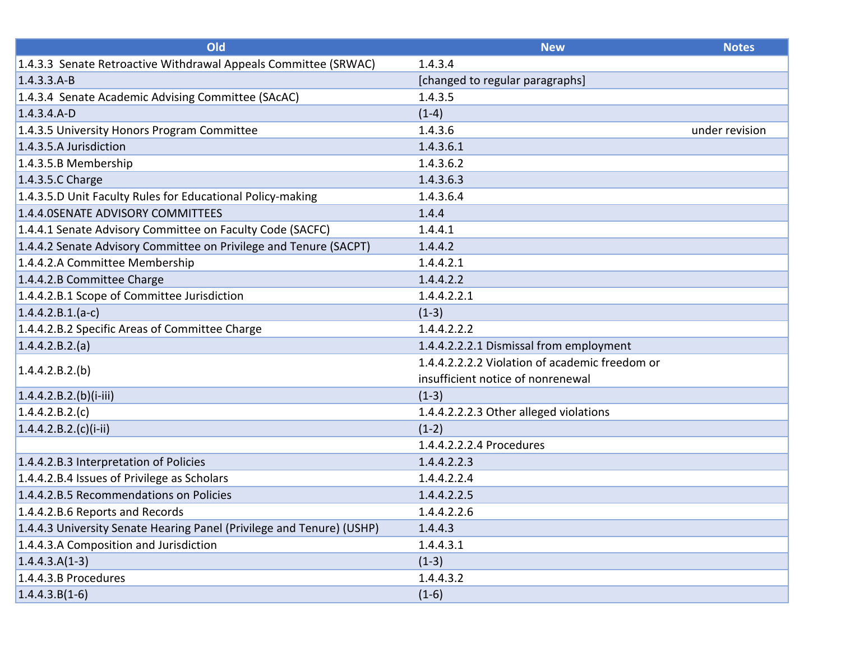| Old                                                                   | <b>New</b>                                     | <b>Notes</b>   |
|-----------------------------------------------------------------------|------------------------------------------------|----------------|
| 1.4.3.3 Senate Retroactive Withdrawal Appeals Committee (SRWAC)       | 1.4.3.4                                        |                |
| $1.4.3.3.A-B$                                                         | [changed to regular paragraphs]                |                |
| 1.4.3.4 Senate Academic Advising Committee (SAcAC)                    | 1.4.3.5                                        |                |
| $1.4.3.4.A - D$                                                       | $(1-4)$                                        |                |
| 1.4.3.5 University Honors Program Committee                           | 1.4.3.6                                        | under revision |
| 1.4.3.5.A Jurisdiction                                                | 1.4.3.6.1                                      |                |
| 1.4.3.5.B Membership                                                  | 1.4.3.6.2                                      |                |
| 1.4.3.5.C Charge                                                      | 1.4.3.6.3                                      |                |
| 1.4.3.5.D Unit Faculty Rules for Educational Policy-making            | 1.4.3.6.4                                      |                |
| 1.4.4.0SENATE ADVISORY COMMITTEES                                     | 1.4.4                                          |                |
| 1.4.4.1 Senate Advisory Committee on Faculty Code (SACFC)             | 1.4.4.1                                        |                |
| 1.4.4.2 Senate Advisory Committee on Privilege and Tenure (SACPT)     | 1.4.4.2                                        |                |
| 1.4.4.2.A Committee Membership                                        | 1.4.4.2.1                                      |                |
| 1.4.4.2.B Committee Charge                                            | 1.4.4.2.2                                      |                |
| 1.4.4.2.B.1 Scope of Committee Jurisdiction                           | 1.4.4.2.2.1                                    |                |
| $1.4.4.2.B.1.(a-c)$                                                   | $(1-3)$                                        |                |
| 1.4.4.2.B.2 Specific Areas of Committee Charge                        | 1.4.4.2.2.2                                    |                |
| 1.4.4.2.B.2(a)                                                        | 1.4.4.2.2.2.1 Dismissal from employment        |                |
| 1.4.4.2.B.2(b)                                                        | 1.4.4.2.2.2.2 Violation of academic freedom or |                |
|                                                                       | insufficient notice of nonrenewal              |                |
| $1.4.4.2.B.2(b)(i-iii)$                                               | $(1-3)$                                        |                |
| 1.4.4.2.B.2.(c)                                                       | 1.4.4.2.2.2.3 Other alleged violations         |                |
| $1.4.4.2.B.2.(c)(i-ii)$                                               | $(1-2)$                                        |                |
|                                                                       | 1.4.4.2.2.2.4 Procedures                       |                |
| 1.4.4.2.B.3 Interpretation of Policies                                | 1.4.4.2.2.3                                    |                |
| 1.4.4.2.B.4 Issues of Privilege as Scholars                           | 1.4.4.2.2.4                                    |                |
| 1.4.4.2.B.5 Recommendations on Policies                               | 1.4.4.2.2.5                                    |                |
| 1.4.4.2.B.6 Reports and Records                                       | 1.4.4.2.2.6                                    |                |
| 1.4.4.3 University Senate Hearing Panel (Privilege and Tenure) (USHP) | 1.4.4.3                                        |                |
| 1.4.4.3.A Composition and Jurisdiction                                | 1.4.4.3.1                                      |                |
| $1.4.4.3.A(1-3)$                                                      | $(1-3)$                                        |                |
| 1.4.4.3.B Procedures                                                  | 1.4.4.3.2                                      |                |
| $1.4.4.3.B(1-6)$                                                      | $(1-6)$                                        |                |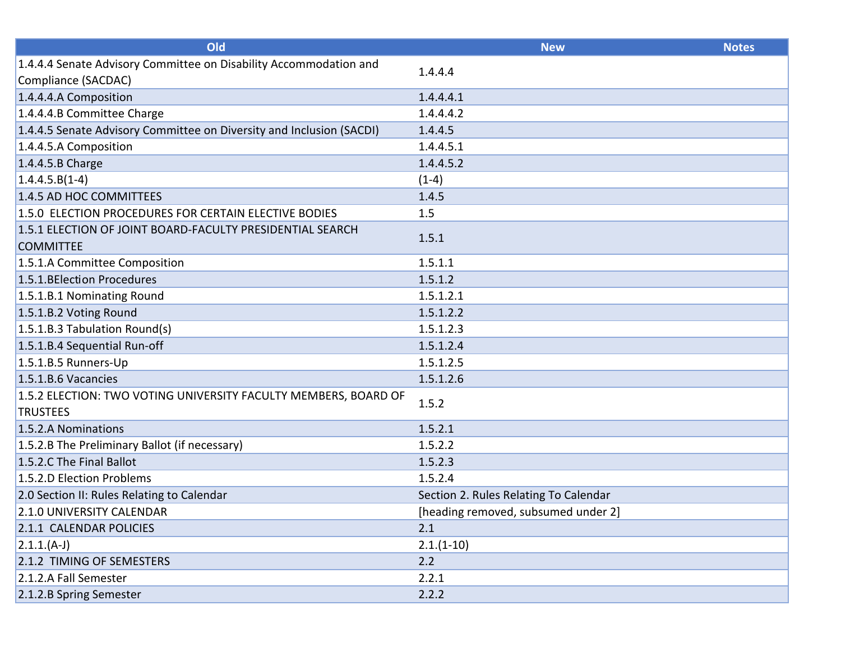| Old                                                                  | <b>New</b>                            | <b>Notes</b> |
|----------------------------------------------------------------------|---------------------------------------|--------------|
| 1.4.4.4 Senate Advisory Committee on Disability Accommodation and    | 1.4.4.4                               |              |
| Compliance (SACDAC)                                                  |                                       |              |
| 1.4.4.4.A Composition                                                | 1.4.4.4.1                             |              |
| 1.4.4.4.B Committee Charge                                           | 1.4.4.4.2                             |              |
| 1.4.4.5 Senate Advisory Committee on Diversity and Inclusion (SACDI) | 1.4.4.5                               |              |
| 1.4.4.5.A Composition                                                | 1.4.4.5.1                             |              |
| 1.4.4.5.B Charge                                                     | 1.4.4.5.2                             |              |
| $1.4.4.5.B(1-4)$                                                     | $(1-4)$                               |              |
| 1.4.5 AD HOC COMMITTEES                                              | 1.4.5                                 |              |
| 1.5.0 ELECTION PROCEDURES FOR CERTAIN ELECTIVE BODIES                | 1.5                                   |              |
| 1.5.1 ELECTION OF JOINT BOARD-FACULTY PRESIDENTIAL SEARCH            | 1.5.1                                 |              |
| <b>COMMITTEE</b>                                                     |                                       |              |
| 1.5.1.A Committee Composition                                        | 1.5.1.1                               |              |
| 1.5.1. BElection Procedures                                          | 1.5.1.2                               |              |
| 1.5.1.B.1 Nominating Round                                           | 1.5.1.2.1                             |              |
| 1.5.1.B.2 Voting Round                                               | 1.5.1.2.2                             |              |
| $1.5.1.B.3$ Tabulation Round(s)                                      | 1.5.1.2.3                             |              |
| 1.5.1.B.4 Sequential Run-off                                         | 1.5.1.2.4                             |              |
| 1.5.1.B.5 Runners-Up                                                 | 1.5.1.2.5                             |              |
| 1.5.1.B.6 Vacancies                                                  | 1.5.1.2.6                             |              |
| 1.5.2 ELECTION: TWO VOTING UNIVERSITY FACULTY MEMBERS, BOARD OF      | 1.5.2                                 |              |
| <b>TRUSTEES</b>                                                      |                                       |              |
| 1.5.2.A Nominations                                                  | 1.5.2.1                               |              |
| 1.5.2.B The Preliminary Ballot (if necessary)                        | 1.5.2.2                               |              |
| 1.5.2.C The Final Ballot                                             | 1.5.2.3                               |              |
| 1.5.2.D Election Problems                                            | 1.5.2.4                               |              |
| 2.0 Section II: Rules Relating to Calendar                           | Section 2. Rules Relating To Calendar |              |
| 2.1.0 UNIVERSITY CALENDAR                                            | [heading removed, subsumed under 2]   |              |
| 2.1.1 CALENDAR POLICIES                                              | 2.1                                   |              |
| $(2.1.1.(A-J))$                                                      | $2.1.(1-10)$                          |              |
| 2.1.2 TIMING OF SEMESTERS                                            | 2.2                                   |              |
| 2.1.2.A Fall Semester                                                | 2.2.1                                 |              |
| 2.1.2.B Spring Semester                                              | 2.2.2                                 |              |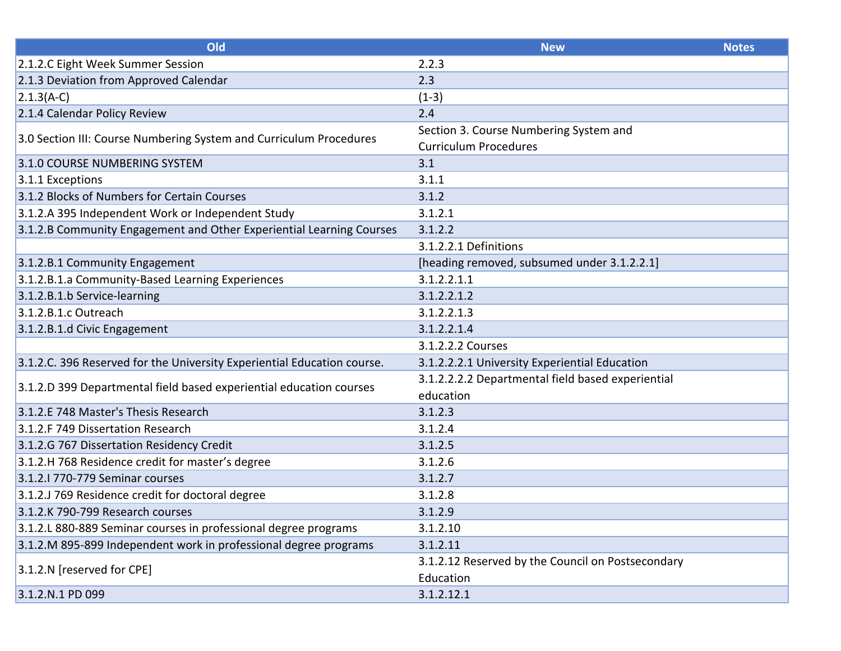| Old                                                                     | <b>New</b>                                        | <b>Notes</b> |
|-------------------------------------------------------------------------|---------------------------------------------------|--------------|
| 2.1.2.C Eight Week Summer Session                                       | 2.2.3                                             |              |
| 2.1.3 Deviation from Approved Calendar                                  | 2.3                                               |              |
| $2.1.3(A-C)$                                                            | $(1-3)$                                           |              |
| 2.1.4 Calendar Policy Review                                            | 2.4                                               |              |
| 3.0 Section III: Course Numbering System and Curriculum Procedures      | Section 3. Course Numbering System and            |              |
|                                                                         | <b>Curriculum Procedures</b>                      |              |
| 3.1.0 COURSE NUMBERING SYSTEM                                           | 3.1                                               |              |
| 3.1.1 Exceptions                                                        | 3.1.1                                             |              |
| 3.1.2 Blocks of Numbers for Certain Courses                             | 3.1.2                                             |              |
| 3.1.2.A 395 Independent Work or Independent Study                       | 3.1.2.1                                           |              |
| 3.1.2.B Community Engagement and Other Experiential Learning Courses    | 3.1.2.2                                           |              |
|                                                                         | 3.1.2.2.1 Definitions                             |              |
| 3.1.2.B.1 Community Engagement                                          | [heading removed, subsumed under 3.1.2.2.1]       |              |
| 3.1.2.B.1.a Community-Based Learning Experiences                        | 3.1.2.2.1.1                                       |              |
| 3.1.2.B.1.b Service-learning                                            | 3.1.2.2.1.2                                       |              |
| 3.1.2.B.1.c Outreach                                                    | 3.1.2.2.1.3                                       |              |
| 3.1.2.B.1.d Civic Engagement                                            | 3.1.2.2.1.4                                       |              |
|                                                                         | 3.1.2.2.2 Courses                                 |              |
| 3.1.2.C. 396 Reserved for the University Experiential Education course. | 3.1.2.2.2.1 University Experiential Education     |              |
| 3.1.2.D 399 Departmental field based experiential education courses     | 3.1.2.2.2.2 Departmental field based experiential |              |
|                                                                         | education                                         |              |
| 3.1.2.E 748 Master's Thesis Research                                    | 3.1.2.3                                           |              |
| 3.1.2.F 749 Dissertation Research                                       | 3.1.2.4                                           |              |
| 3.1.2.G 767 Dissertation Residency Credit                               | 3.1.2.5                                           |              |
| 3.1.2.H 768 Residence credit for master's degree                        | 3.1.2.6                                           |              |
| 3.1.2.1 770-779 Seminar courses                                         | 3.1.2.7                                           |              |
| 3.1.2.J 769 Residence credit for doctoral degree                        | 3.1.2.8                                           |              |
| 3.1.2.K 790-799 Research courses                                        | 3.1.2.9                                           |              |
| 3.1.2.L 880-889 Seminar courses in professional degree programs         | 3.1.2.10                                          |              |
| 3.1.2.M 895-899 Independent work in professional degree programs        | 3.1.2.11                                          |              |
| 3.1.2.N [reserved for CPE]                                              | 3.1.2.12 Reserved by the Council on Postsecondary |              |
|                                                                         | Education                                         |              |
| 3.1.2.N.1 PD 099                                                        | 3.1.2.12.1                                        |              |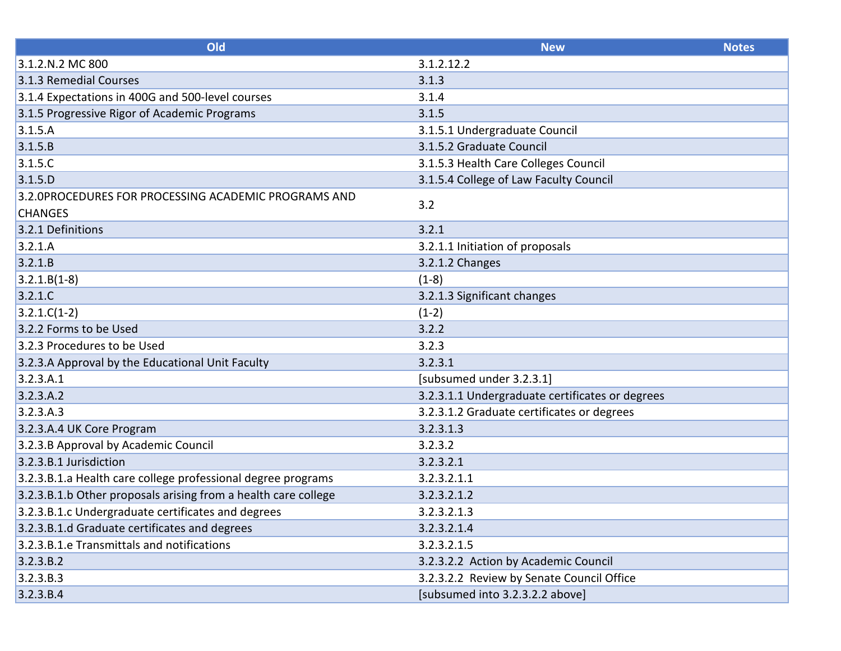| Old                                                            | <b>New</b>                                      | <b>Notes</b> |
|----------------------------------------------------------------|-------------------------------------------------|--------------|
| 3.1.2.N.2 MC 800                                               | 3.1.2.12.2                                      |              |
| 3.1.3 Remedial Courses                                         | 3.1.3                                           |              |
| 3.1.4 Expectations in 400G and 500-level courses               | 3.1.4                                           |              |
| 3.1.5 Progressive Rigor of Academic Programs                   | 3.1.5                                           |              |
| 3.1.5.A                                                        | 3.1.5.1 Undergraduate Council                   |              |
| 3.1.5.B                                                        | 3.1.5.2 Graduate Council                        |              |
| 3.1.5.C                                                        | 3.1.5.3 Health Care Colleges Council            |              |
| 3.1.5.D                                                        | 3.1.5.4 College of Law Faculty Council          |              |
| 3.2.0PROCEDURES FOR PROCESSING ACADEMIC PROGRAMS AND           | 3.2                                             |              |
| <b>CHANGES</b>                                                 |                                                 |              |
| 3.2.1 Definitions                                              | 3.2.1                                           |              |
| 3.2.1.A                                                        | 3.2.1.1 Initiation of proposals                 |              |
| 3.2.1B                                                         | 3.2.1.2 Changes                                 |              |
| $3.2.1.B(1-8)$                                                 | $(1-8)$                                         |              |
| 3.2.1.C                                                        | 3.2.1.3 Significant changes                     |              |
| $3.2.1.C(1-2)$                                                 | $(1-2)$                                         |              |
| 3.2.2 Forms to be Used                                         | 3.2.2                                           |              |
| 3.2.3 Procedures to be Used                                    | 3.2.3                                           |              |
| 3.2.3.A Approval by the Educational Unit Faculty               | 3.2.3.1                                         |              |
| 3.2.3.A.1                                                      | [subsumed under 3.2.3.1]                        |              |
| 3.2.3.A.2                                                      | 3.2.3.1.1 Undergraduate certificates or degrees |              |
| 3.2.3.A.3                                                      | 3.2.3.1.2 Graduate certificates or degrees      |              |
| 3.2.3.A.4 UK Core Program                                      | 3.2.3.1.3                                       |              |
| 3.2.3.B Approval by Academic Council                           | 3.2.3.2                                         |              |
| 3.2.3.B.1 Jurisdiction                                         | 3.2.3.2.1                                       |              |
| 3.2.3.B.1.a Health care college professional degree programs   | 3.2.3.2.1.1                                     |              |
| 3.2.3.B.1.b Other proposals arising from a health care college | 3.2.3.2.1.2                                     |              |
| 3.2.3.B.1.c Undergraduate certificates and degrees             | 3.2.3.2.1.3                                     |              |
| 3.2.3.B.1.d Graduate certificates and degrees                  | 3.2.3.2.1.4                                     |              |
| 3.2.3.B.1.e Transmittals and notifications                     | 3.2.3.2.1.5                                     |              |
| 3.2.3.B.2                                                      | 3.2.3.2.2 Action by Academic Council            |              |
| 3.2.3.B.3                                                      | 3.2.3.2.2 Review by Senate Council Office       |              |
| 3.2.3.B.4                                                      | [subsumed into 3.2.3.2.2 above]                 |              |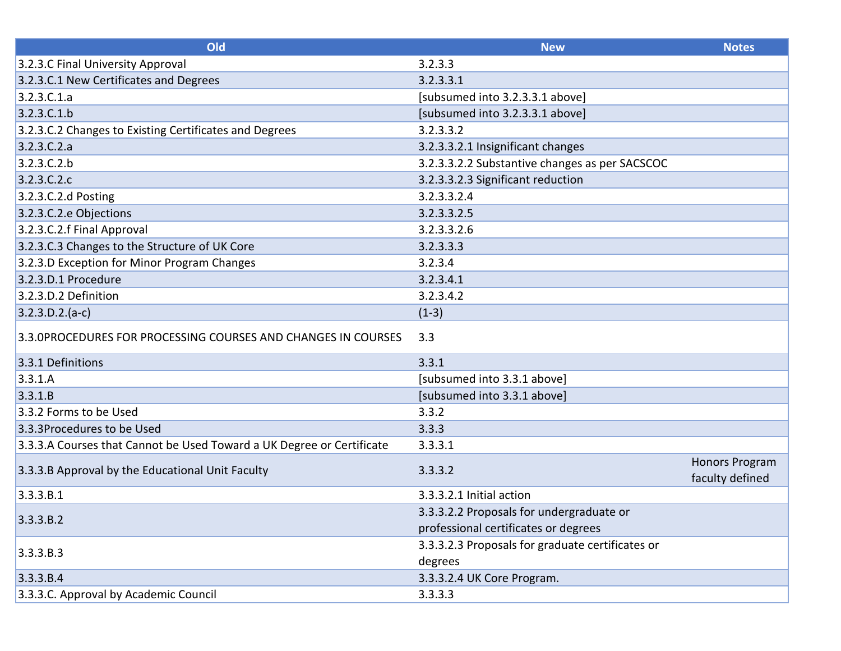| Old                                                                   | <b>New</b>                                       | <b>Notes</b>          |
|-----------------------------------------------------------------------|--------------------------------------------------|-----------------------|
| 3.2.3.C Final University Approval                                     | 3.2.3.3                                          |                       |
| 3.2.3.C.1 New Certificates and Degrees                                | 3.2.3.3.1                                        |                       |
| 3.2.3.C.1.a                                                           | [subsumed into 3.2.3.3.1 above]                  |                       |
| 3.2.3.C.1.b                                                           | [subsumed into 3.2.3.3.1 above]                  |                       |
| 3.2.3.C.2 Changes to Existing Certificates and Degrees                | 3.2.3.3.2                                        |                       |
| 3.2.3.C.2.a                                                           | 3.2.3.3.2.1 Insignificant changes                |                       |
| 3.2.3.C.2.b                                                           | 3.2.3.3.2.2 Substantive changes as per SACSCOC   |                       |
| 3.2.3.C.2.c                                                           | 3.2.3.3.2.3 Significant reduction                |                       |
| 3.2.3.C.2.d Posting                                                   | 3.2.3.3.2.4                                      |                       |
| 3.2.3.C.2.e Objections                                                | 3.2.3.3.2.5                                      |                       |
| 3.2.3.C.2.f Final Approval                                            | 3.2.3.3.2.6                                      |                       |
| 3.2.3.C.3 Changes to the Structure of UK Core                         | 3.2.3.3.3                                        |                       |
| 3.2.3.D Exception for Minor Program Changes                           | 3.2.3.4                                          |                       |
| 3.2.3.D.1 Procedure                                                   | 3.2.3.4.1                                        |                       |
| 3.2.3.D.2 Definition                                                  | 3.2.3.4.2                                        |                       |
| $3.2.3.D.2.(a-c)$                                                     | $(1-3)$                                          |                       |
| 3.3.0PROCEDURES FOR PROCESSING COURSES AND CHANGES IN COURSES         | 3.3                                              |                       |
| 3.3.1 Definitions                                                     | 3.3.1                                            |                       |
| 3.3.1.A                                                               | [subsumed into 3.3.1 above]                      |                       |
| 3.3.1.B                                                               | [subsumed into 3.3.1 above]                      |                       |
| 3.3.2 Forms to be Used                                                | 3.3.2                                            |                       |
| 3.3.3Procedures to be Used                                            | 3.3.3                                            |                       |
| 3.3.3.A Courses that Cannot be Used Toward a UK Degree or Certificate | 3.3.3.1                                          |                       |
| 3.3.3.B Approval by the Educational Unit Faculty                      | 3.3.3.2                                          | <b>Honors Program</b> |
|                                                                       |                                                  | faculty defined       |
| 3.3.3.B.1                                                             | 3.3.3.2.1 Initial action                         |                       |
|                                                                       | 3.3.3.2.2 Proposals for undergraduate or         |                       |
| 3.3.3.B.2                                                             | professional certificates or degrees             |                       |
|                                                                       | 3.3.3.2.3 Proposals for graduate certificates or |                       |
| 3.3.3.B.3                                                             | degrees                                          |                       |
| 3.3.3.B.4                                                             | 3.3.3.2.4 UK Core Program.                       |                       |
| 3.3.3.C. Approval by Academic Council                                 | 3.3.3.3                                          |                       |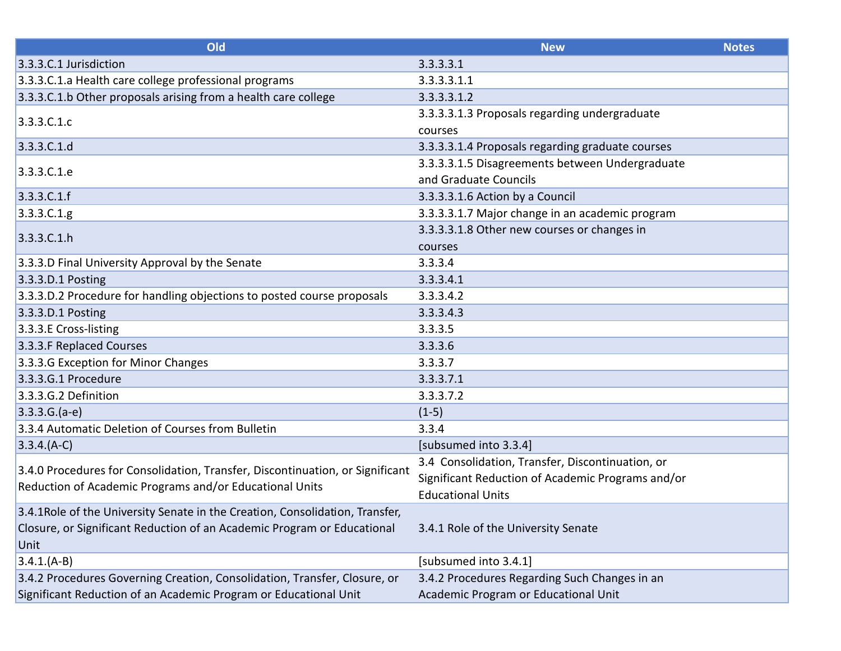| Old                                                                           | <b>New</b>                                        | <b>Notes</b> |
|-------------------------------------------------------------------------------|---------------------------------------------------|--------------|
| 3.3.3.C.1 Jurisdiction                                                        | 3.3.3.3.1                                         |              |
| 3.3.3.C.1.a Health care college professional programs                         | 3.3.3.3.1.1                                       |              |
| 3.3.3.C.1.b Other proposals arising from a health care college                | 3.3.3.3.1.2                                       |              |
| 3.3.3.C.1.c                                                                   | 3.3.3.3.1.3 Proposals regarding undergraduate     |              |
|                                                                               | courses                                           |              |
| 3.3.3.C.1.d                                                                   | 3.3.3.3.1.4 Proposals regarding graduate courses  |              |
| 3.3.3.C.1.e                                                                   | 3.3.3.3.1.5 Disagreements between Undergraduate   |              |
|                                                                               | and Graduate Councils                             |              |
| 3.3.3.C.1.f                                                                   | 3.3.3.3.1.6 Action by a Council                   |              |
| 3.3.3.C.1.g.                                                                  | 3.3.3.3.1.7 Major change in an academic program   |              |
| 3.3.3.C.1.h                                                                   | 3.3.3.3.1.8 Other new courses or changes in       |              |
|                                                                               | courses                                           |              |
| 3.3.3.D Final University Approval by the Senate                               | 3.3.3.4                                           |              |
| 3.3.3.D.1 Posting                                                             | 3.3.3.4.1                                         |              |
| 3.3.3.D.2 Procedure for handling objections to posted course proposals        | 3.3.3.4.2                                         |              |
| 3.3.3.D.1 Posting                                                             | 3.3.3.4.3                                         |              |
| 3.3.3.E Cross-listing                                                         | 3.3.3.5                                           |              |
| 3.3.3.F Replaced Courses                                                      | 3.3.3.6                                           |              |
| 3.3.3.G Exception for Minor Changes                                           | 3.3.3.7                                           |              |
| 3.3.3.G.1 Procedure                                                           | 3.3.3.7.1                                         |              |
| 3.3.3.G.2 Definition                                                          | 3.3.3.7.2                                         |              |
| $3.3.3.G.(a-e)$                                                               | $(1-5)$                                           |              |
| 3.3.4 Automatic Deletion of Courses from Bulletin                             | 3.3.4                                             |              |
| $3.3.4.(A-C)$                                                                 | [subsumed into 3.3.4]                             |              |
|                                                                               | 3.4 Consolidation, Transfer, Discontinuation, or  |              |
| 3.4.0 Procedures for Consolidation, Transfer, Discontinuation, or Significant | Significant Reduction of Academic Programs and/or |              |
| Reduction of Academic Programs and/or Educational Units                       | <b>Educational Units</b>                          |              |
| 3.4.1 Role of the University Senate in the Creation, Consolidation, Transfer, |                                                   |              |
| Closure, or Significant Reduction of an Academic Program or Educational       | 3.4.1 Role of the University Senate               |              |
| Unit                                                                          |                                                   |              |
| $3.4.1(A-B)$                                                                  | [subsumed into 3.4.1]                             |              |
| 3.4.2 Procedures Governing Creation, Consolidation, Transfer, Closure, or     | 3.4.2 Procedures Regarding Such Changes in an     |              |
| Significant Reduction of an Academic Program or Educational Unit              | Academic Program or Educational Unit              |              |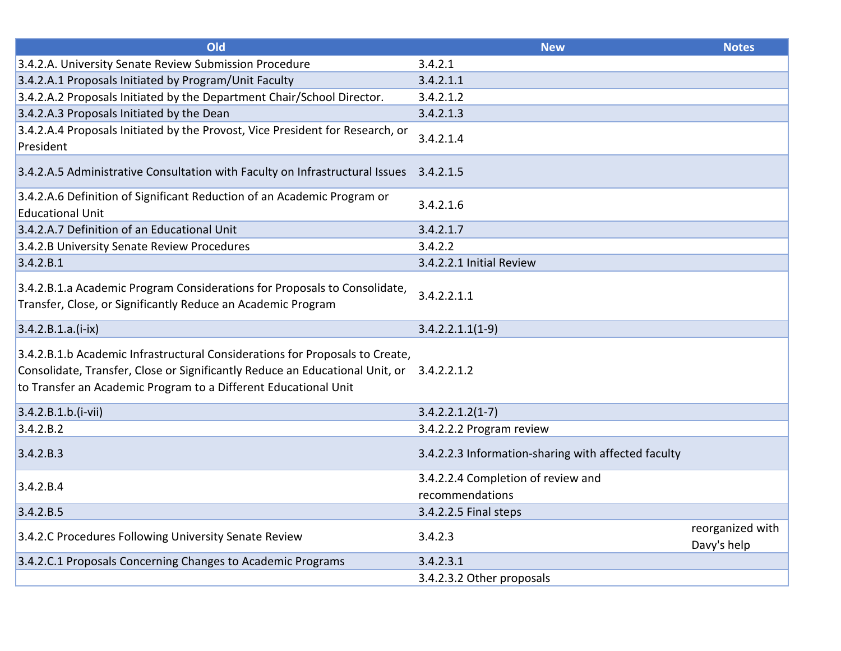| Old                                                                                                                                                                                                                                         | <b>New</b>                                          | <b>Notes</b>                    |
|---------------------------------------------------------------------------------------------------------------------------------------------------------------------------------------------------------------------------------------------|-----------------------------------------------------|---------------------------------|
| 3.4.2.A. University Senate Review Submission Procedure                                                                                                                                                                                      | 3.4.2.1                                             |                                 |
| 3.4.2.A.1 Proposals Initiated by Program/Unit Faculty                                                                                                                                                                                       | 3.4.2.1.1                                           |                                 |
| 3.4.2.A.2 Proposals Initiated by the Department Chair/School Director.                                                                                                                                                                      | 3.4.2.1.2                                           |                                 |
| 3.4.2.A.3 Proposals Initiated by the Dean                                                                                                                                                                                                   | 3.4.2.1.3                                           |                                 |
| 3.4.2.A.4 Proposals Initiated by the Provost, Vice President for Research, or<br>President                                                                                                                                                  | 3.4.2.1.4                                           |                                 |
| 3.4.2.A.5 Administrative Consultation with Faculty on Infrastructural Issues                                                                                                                                                                | 3.4.2.1.5                                           |                                 |
| 3.4.2.A.6 Definition of Significant Reduction of an Academic Program or<br><b>Educational Unit</b>                                                                                                                                          | 3.4.2.1.6                                           |                                 |
| 3.4.2.A.7 Definition of an Educational Unit                                                                                                                                                                                                 | 3.4.2.1.7                                           |                                 |
| 3.4.2.B University Senate Review Procedures                                                                                                                                                                                                 | 3.4.2.2                                             |                                 |
| 3.4.2.B.1                                                                                                                                                                                                                                   | 3.4.2.2.1 Initial Review                            |                                 |
| 3.4.2.B.1.a Academic Program Considerations for Proposals to Consolidate,<br>Transfer, Close, or Significantly Reduce an Academic Program                                                                                                   | 3.4.2.2.1.1                                         |                                 |
| $3.4.2.B.1.a.(i-ix)$                                                                                                                                                                                                                        | $3.4.2.2.1.1(1-9)$                                  |                                 |
| 3.4.2.B.1.b Academic Infrastructural Considerations for Proposals to Create,<br>Consolidate, Transfer, Close or Significantly Reduce an Educational Unit, or 3.4.2.2.1.2<br>to Transfer an Academic Program to a Different Educational Unit |                                                     |                                 |
| $3.4.2.B.1.b.(i-vii)$                                                                                                                                                                                                                       | $3.4.2.2.1.2(1-7)$                                  |                                 |
| 3.4.2.B.2                                                                                                                                                                                                                                   | 3.4.2.2.2 Program review                            |                                 |
| 3.4.2.B.3                                                                                                                                                                                                                                   | 3.4.2.2.3 Information-sharing with affected faculty |                                 |
| 3.4.2.B.4                                                                                                                                                                                                                                   | 3.4.2.2.4 Completion of review and                  |                                 |
|                                                                                                                                                                                                                                             | recommendations                                     |                                 |
| 3.4.2.B.5                                                                                                                                                                                                                                   | 3.4.2.2.5 Final steps                               |                                 |
| 3.4.2.C Procedures Following University Senate Review                                                                                                                                                                                       | 3.4.2.3                                             | reorganized with<br>Davy's help |
| 3.4.2.C.1 Proposals Concerning Changes to Academic Programs                                                                                                                                                                                 | 3.4.2.3.1                                           |                                 |
|                                                                                                                                                                                                                                             | 3.4.2.3.2 Other proposals                           |                                 |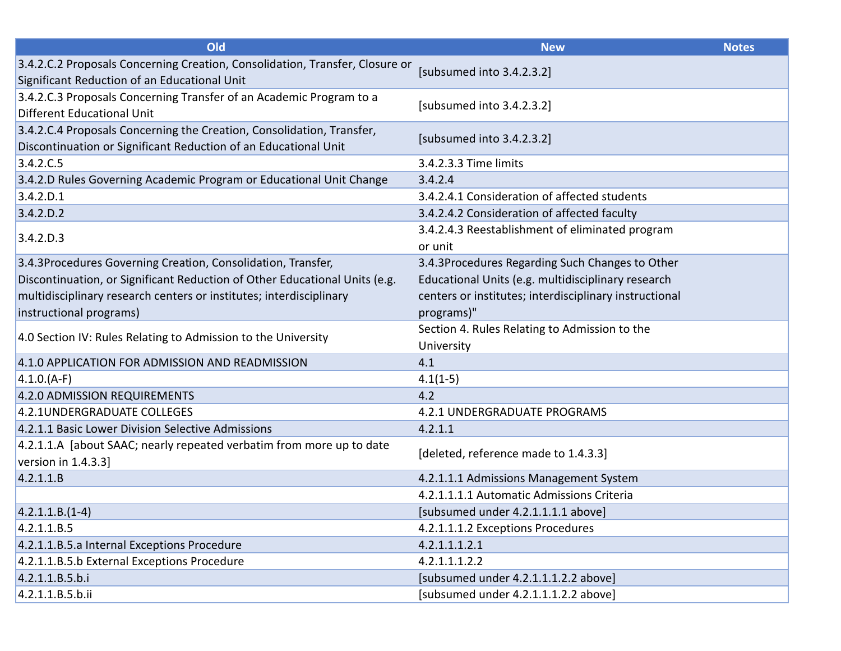| Old                                                                                                                                      | <b>New</b>                                                  | <b>Notes</b> |
|------------------------------------------------------------------------------------------------------------------------------------------|-------------------------------------------------------------|--------------|
| 3.4.2.C.2 Proposals Concerning Creation, Consolidation, Transfer, Closure or<br>Significant Reduction of an Educational Unit             | [subsumed into 3.4.2.3.2]                                   |              |
| 3.4.2.C.3 Proposals Concerning Transfer of an Academic Program to a<br>Different Educational Unit                                        | [subsumed into 3.4.2.3.2]                                   |              |
| 3.4.2.C.4 Proposals Concerning the Creation, Consolidation, Transfer,<br>Discontinuation or Significant Reduction of an Educational Unit | [subsumed into 3.4.2.3.2]                                   |              |
| 3.4.2.C.5                                                                                                                                | 3.4.2.3.3 Time limits                                       |              |
| 3.4.2.D Rules Governing Academic Program or Educational Unit Change                                                                      | 3.4.2.4                                                     |              |
| 3.4.2.D.1                                                                                                                                | 3.4.2.4.1 Consideration of affected students                |              |
| 3.4.2.D.2                                                                                                                                | 3.4.2.4.2 Consideration of affected faculty                 |              |
| 3.4.2.D.3                                                                                                                                | 3.4.2.4.3 Reestablishment of eliminated program<br>or unit  |              |
| 3.4.3Procedures Governing Creation, Consolidation, Transfer,                                                                             | 3.4.3Procedures Regarding Such Changes to Other             |              |
| Discontinuation, or Significant Reduction of Other Educational Units (e.g.                                                               | Educational Units (e.g. multidisciplinary research          |              |
| multidisciplinary research centers or institutes; interdisciplinary                                                                      | centers or institutes; interdisciplinary instructional      |              |
| instructional programs)                                                                                                                  | programs)"                                                  |              |
| 4.0 Section IV: Rules Relating to Admission to the University                                                                            | Section 4. Rules Relating to Admission to the<br>University |              |
| 4.1.0 APPLICATION FOR ADMISSION AND READMISSION                                                                                          | 4.1                                                         |              |
| $(4.1.0.(A-F))$                                                                                                                          | $4.1(1-5)$                                                  |              |
| 4.2.0 ADMISSION REQUIREMENTS                                                                                                             | 4.2                                                         |              |
| 4.2.1UNDERGRADUATE COLLEGES                                                                                                              | 4.2.1 UNDERGRADUATE PROGRAMS                                |              |
| 4.2.1.1 Basic Lower Division Selective Admissions                                                                                        | 4.2.1.1                                                     |              |
| 4.2.1.1.A [about SAAC; nearly repeated verbatim from more up to date<br>version in 1.4.3.3]                                              | [deleted, reference made to 1.4.3.3]                        |              |
| 4.2.1.1.B                                                                                                                                | 4.2.1.1.1 Admissions Management System                      |              |
|                                                                                                                                          | 4.2.1.1.1.1 Automatic Admissions Criteria                   |              |
| $ 4.2.1.1.B.(1-4) $                                                                                                                      | [subsumed under 4.2.1.1.1.1 above]                          |              |
| 4.2.1.1.B.5                                                                                                                              | 4.2.1.1.1.2 Exceptions Procedures                           |              |
| 4.2.1.1.B.5.a Internal Exceptions Procedure                                                                                              | 4.2.1.1.1.2.1                                               |              |
| 4.2.1.1.B.5.b External Exceptions Procedure                                                                                              | 4.2.1.1.1.2.2                                               |              |
| 4.2.1.1.B.5.b.i                                                                                                                          | [subsumed under 4.2.1.1.1.2.2 above]                        |              |
| 4.2.1.1.B.5.b.ii                                                                                                                         | [subsumed under 4.2.1.1.1.2.2 above]                        |              |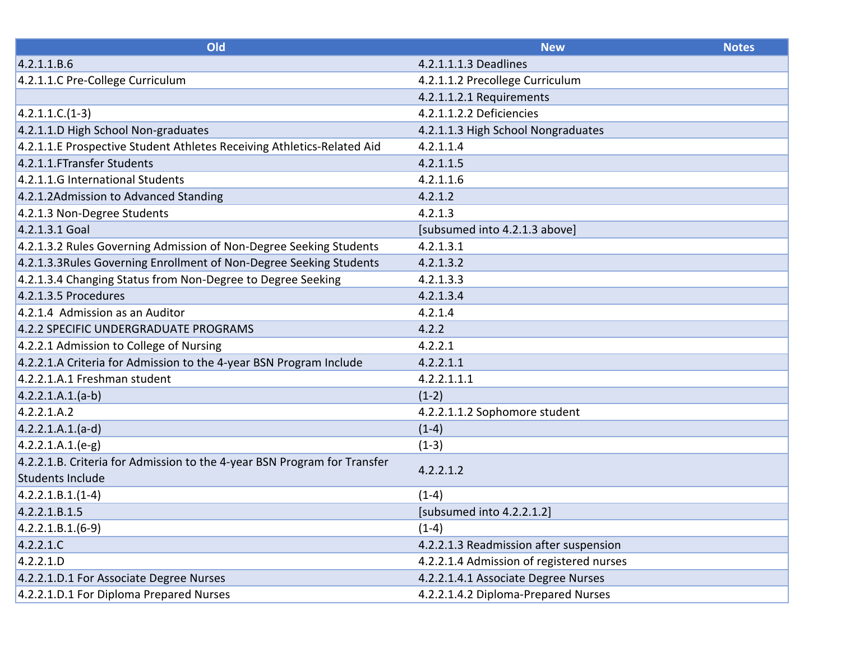| Old                                                                      | <b>New</b>                               | <b>Notes</b> |
|--------------------------------------------------------------------------|------------------------------------------|--------------|
| 4.2.1.1.B.6                                                              | 4.2.1.1.1.3 Deadlines                    |              |
| 4.2.1.1.C Pre-College Curriculum                                         | 4.2.1.1.2 Precollege Curriculum          |              |
|                                                                          | 4.2.1.1.2.1 Requirements                 |              |
| $4.2.1.1.C.(1-3)$                                                        | 4.2.1.1.2.2 Deficiencies                 |              |
| 4.2.1.1.D High School Non-graduates                                      | 4.2.1.1.3 High School Nongraduates       |              |
| 4.2.1.1.E Prospective Student Athletes Receiving Athletics-Related Aid   | 4.2.1.1.4                                |              |
| 4.2.1.1. FTransfer Students                                              | 4.2.1.1.5                                |              |
| 4.2.1.1.G International Students                                         | 4.2.1.1.6                                |              |
| 4.2.1.2Admission to Advanced Standing                                    | 4.2.1.2                                  |              |
| 4.2.1.3 Non-Degree Students                                              | 4.2.1.3                                  |              |
| 4.2.1.3.1 Goal                                                           | [subsumed into 4.2.1.3 above]            |              |
| 4.2.1.3.2 Rules Governing Admission of Non-Degree Seeking Students       | 4.2.1.3.1                                |              |
| 4.2.1.3.3 Rules Governing Enrollment of Non-Degree Seeking Students      | 4.2.1.3.2                                |              |
| 4.2.1.3.4 Changing Status from Non-Degree to Degree Seeking              | 4.2.1.3.3                                |              |
| 4.2.1.3.5 Procedures                                                     | 4.2.1.3.4                                |              |
| 4.2.1.4 Admission as an Auditor                                          | 4.2.1.4                                  |              |
| 4.2.2 SPECIFIC UNDERGRADUATE PROGRAMS                                    | 4.2.2                                    |              |
| 4.2.2.1 Admission to College of Nursing                                  | 4.2.2.1                                  |              |
| 4.2.2.1.A Criteria for Admission to the 4-year BSN Program Include       | 4.2.2.1.1                                |              |
| 4.2.2.1.A.1 Freshman student                                             | 4.2.2.1.1.1                              |              |
| $(4.2.2.1.A.1.(a-b))$                                                    | $(1-2)$                                  |              |
| 4.2.2.1.A.2                                                              | 4.2.2.1.1.2 Sophomore student            |              |
| $(4.2.2.1.A.1.(a-d))$                                                    | $(1-4)$                                  |              |
| $4.2.2.1.A.1(e-g)$                                                       | $(1-3)$                                  |              |
| 4.2.2.1.B. Criteria for Admission to the 4-year BSN Program for Transfer | 4.2.2.1.2                                |              |
| Students Include                                                         |                                          |              |
| $4.2.2.1.B.1.(1-4)$                                                      | $(1-4)$                                  |              |
| 4.2.2.1.B.1.5                                                            | [subsumed into 4.2.2.1.2]                |              |
| $4.2.2.1.B.1.(6-9)$                                                      | $(1-4)$                                  |              |
| 4.2.2.1.C                                                                | 4.2.2.1.3 Readmission after suspension   |              |
| 4.2.2.1.D                                                                | 4.2.2.1.4 Admission of registered nurses |              |
| 4.2.2.1.D.1 For Associate Degree Nurses                                  | 4.2.2.1.4.1 Associate Degree Nurses      |              |
| 4.2.2.1.D.1 For Diploma Prepared Nurses                                  | 4.2.2.1.4.2 Diploma-Prepared Nurses      |              |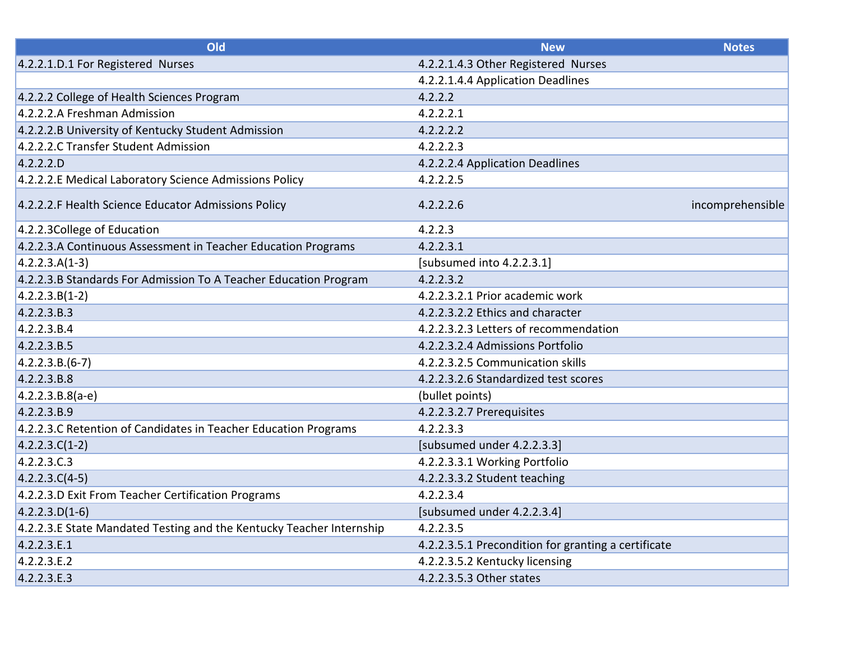| Old                                                                  | <b>New</b>                                          | <b>Notes</b>     |
|----------------------------------------------------------------------|-----------------------------------------------------|------------------|
| 4.2.2.1.D.1 For Registered Nurses                                    | 4.2.2.1.4.3 Other Registered Nurses                 |                  |
|                                                                      | 4.2.2.1.4.4 Application Deadlines                   |                  |
| 4.2.2.2 College of Health Sciences Program                           | 4.2.2.2                                             |                  |
| 4.2.2.2.A Freshman Admission                                         | 4.2.2.2.1                                           |                  |
| 4.2.2.2.B University of Kentucky Student Admission                   | 4.2.2.2.2                                           |                  |
| 4.2.2.2.C Transfer Student Admission                                 | 4.2.2.2.3                                           |                  |
| 4.2.2.2.                                                             | 4.2.2.2.4 Application Deadlines                     |                  |
| 4.2.2.2.E Medical Laboratory Science Admissions Policy               | 4.2.2.2.5                                           |                  |
| 4.2.2.2.F Health Science Educator Admissions Policy                  | 4.2.2.2.6                                           | incomprehensible |
| 4.2.2.3 College of Education                                         | 4.2.2.3                                             |                  |
| 4.2.2.3.A Continuous Assessment in Teacher Education Programs        | 4.2.2.3.1                                           |                  |
| $4.2.2.3.A(1-3)$                                                     | [subsumed into 4.2.2.3.1]                           |                  |
| 4.2.2.3.B Standards For Admission To A Teacher Education Program     | 4.2.2.3.2                                           |                  |
| $4.2.2.3.B(1-2)$                                                     | 4.2.2.3.2.1 Prior academic work                     |                  |
| 4.2.2.3.B.3                                                          | 4.2.2.3.2.2 Ethics and character                    |                  |
| 4.2.2.3.B.4                                                          | 4.2.2.3.2.3 Letters of recommendation               |                  |
| 4.2.2.3.B.5                                                          | 4.2.2.3.2.4 Admissions Portfolio                    |                  |
| $4.2.2.3.B.(6-7)$                                                    | 4.2.2.3.2.5 Communication skills                    |                  |
| 4.2.2.3.B.8                                                          | 4.2.2.3.2.6 Standardized test scores                |                  |
| $4.2.2.3.B.8(a-e)$                                                   | (bullet points)                                     |                  |
| 4.2.2.3.B.9                                                          | 4.2.2.3.2.7 Prerequisites                           |                  |
| 4.2.2.3.C Retention of Candidates in Teacher Education Programs      | 4.2.2.3.3                                           |                  |
| $4.2.2.3.C(1-2)$                                                     | [subsumed under 4.2.2.3.3]                          |                  |
| 4.2.2.3.C.3                                                          | 4.2.2.3.3.1 Working Portfolio                       |                  |
| $4.2.2.3.C(4-5)$                                                     | 4.2.2.3.3.2 Student teaching                        |                  |
| 4.2.2.3.D Exit From Teacher Certification Programs                   | 4.2.2.3.4                                           |                  |
| $4.2.2.3.D(1-6)$                                                     | [subsumed under 4.2.2.3.4]                          |                  |
| 4.2.2.3.E State Mandated Testing and the Kentucky Teacher Internship | 4.2.2.3.5                                           |                  |
| 4.2.2.3.E.1                                                          | 4.2.2.3.5.1 Precondition for granting a certificate |                  |
| 4.2.2.3.E.2                                                          | 4.2.2.3.5.2 Kentucky licensing                      |                  |
| 4.2.2.3.E.3                                                          | 4.2.2.3.5.3 Other states                            |                  |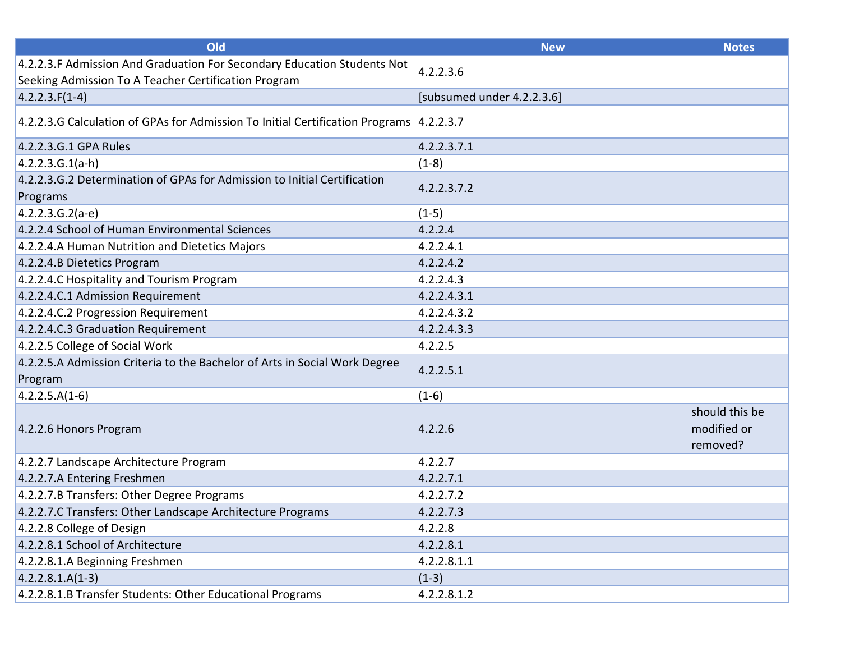| Old                                                                                                                             | <b>New</b>                 | <b>Notes</b>                              |
|---------------------------------------------------------------------------------------------------------------------------------|----------------------------|-------------------------------------------|
| 4.2.2.3.F Admission And Graduation For Secondary Education Students Not<br>Seeking Admission To A Teacher Certification Program | 4.2.2.3.6                  |                                           |
| $4.2.2.3.F(1-4)$                                                                                                                | [subsumed under 4.2.2.3.6] |                                           |
| 4.2.2.3.G Calculation of GPAs for Admission To Initial Certification Programs 4.2.2.3.7                                         |                            |                                           |
| 4.2.2.3.G.1 GPA Rules                                                                                                           | 4.2.2.3.7.1                |                                           |
| $4.2.2.3.G.1(a-h)$                                                                                                              | $(1-8)$                    |                                           |
| 4.2.2.3.G.2 Determination of GPAs for Admission to Initial Certification<br>Programs                                            | 4.2.2.3.7.2                |                                           |
| $4.2.2.3.6.2(a-e)$                                                                                                              | $(1-5)$                    |                                           |
| 4.2.2.4 School of Human Environmental Sciences                                                                                  | 4.2.2.4                    |                                           |
| 4.2.2.4.A Human Nutrition and Dietetics Majors                                                                                  | 4.2.2.4.1                  |                                           |
| 4.2.2.4.B Dietetics Program                                                                                                     | 4.2.2.4.2                  |                                           |
| 4.2.2.4.C Hospitality and Tourism Program                                                                                       | 4.2.2.4.3                  |                                           |
| 4.2.2.4.C.1 Admission Requirement                                                                                               | 4.2.2.4.3.1                |                                           |
| 4.2.2.4.C.2 Progression Requirement                                                                                             | 4.2.2.4.3.2                |                                           |
| 4.2.2.4.C.3 Graduation Requirement                                                                                              | 4.2.2.4.3.3                |                                           |
| 4.2.2.5 College of Social Work                                                                                                  | 4.2.2.5                    |                                           |
| 4.2.2.5.A Admission Criteria to the Bachelor of Arts in Social Work Degree<br>Program                                           | 4.2.2.5.1                  |                                           |
| $4.2.2.5.A(1-6)$                                                                                                                | $(1-6)$                    |                                           |
| 4.2.2.6 Honors Program                                                                                                          | 4.2.2.6                    | should this be<br>modified or<br>removed? |
| 4.2.2.7 Landscape Architecture Program                                                                                          | 4.2.2.7                    |                                           |
| 4.2.2.7.A Entering Freshmen                                                                                                     | 4.2.2.7.1                  |                                           |
| 4.2.2.7.B Transfers: Other Degree Programs                                                                                      | 4.2.2.7.2                  |                                           |
| 4.2.2.7.C Transfers: Other Landscape Architecture Programs                                                                      | 4.2.2.7.3                  |                                           |
| 4.2.2.8 College of Design                                                                                                       | 4.2.2.8                    |                                           |
| 4.2.2.8.1 School of Architecture                                                                                                | 4.2.2.8.1                  |                                           |
| 4.2.2.8.1.A Beginning Freshmen                                                                                                  | 4.2.2.8.1.1                |                                           |
| $4.2.2.8.1.A(1-3)$                                                                                                              | $(1-3)$                    |                                           |
| 4.2.2.8.1.B Transfer Students: Other Educational Programs                                                                       | 4.2.2.8.1.2                |                                           |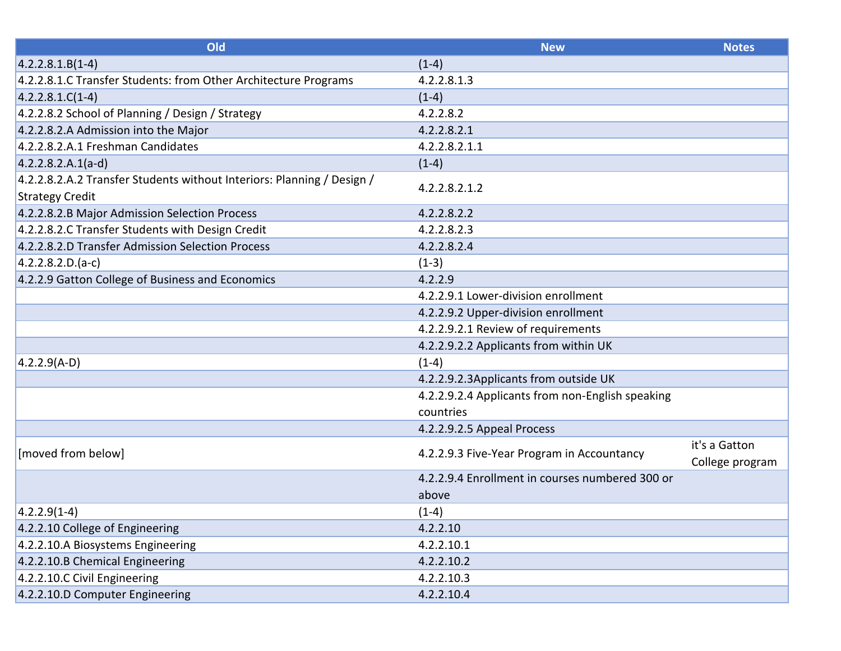| Old                                                                                              | <b>New</b>                                                    | <b>Notes</b>                     |
|--------------------------------------------------------------------------------------------------|---------------------------------------------------------------|----------------------------------|
| $4.2.2.8.1.B(1-4)$                                                                               | $(1-4)$                                                       |                                  |
| 4.2.2.8.1.C Transfer Students: from Other Architecture Programs                                  | 4.2.2.8.1.3                                                   |                                  |
| $4.2.2.8.1.C(1-4)$                                                                               | $(1-4)$                                                       |                                  |
| 4.2.2.8.2 School of Planning / Design / Strategy                                                 | 4.2.2.8.2                                                     |                                  |
| 4.2.2.8.2.A Admission into the Major                                                             | 4.2.2.8.2.1                                                   |                                  |
| 4.2.2.8.2.A.1 Freshman Candidates                                                                | 4.2.2.8.2.1.1                                                 |                                  |
| $4.2.2.8.2.A.1(a-d)$                                                                             | $(1-4)$                                                       |                                  |
| 4.2.2.8.2.A.2 Transfer Students without Interiors: Planning / Design /<br><b>Strategy Credit</b> | 4.2.2.8.2.1.2                                                 |                                  |
| 4.2.2.8.2.B Major Admission Selection Process                                                    | 4.2.2.8.2.2                                                   |                                  |
| 4.2.2.8.2.C Transfer Students with Design Credit                                                 | 4.2.2.8.2.3                                                   |                                  |
| 4.2.2.8.2.D Transfer Admission Selection Process                                                 | 4.2.2.8.2.4                                                   |                                  |
| $(4.2.2.8.2.D.(a-c))$                                                                            | $(1-3)$                                                       |                                  |
| 4.2.2.9 Gatton College of Business and Economics                                                 | 4.2.2.9                                                       |                                  |
|                                                                                                  | 4.2.2.9.1 Lower-division enrollment                           |                                  |
|                                                                                                  | 4.2.2.9.2 Upper-division enrollment                           |                                  |
|                                                                                                  | 4.2.2.9.2.1 Review of requirements                            |                                  |
|                                                                                                  | 4.2.2.9.2.2 Applicants from within UK                         |                                  |
| $4.2.2.9(A-D)$                                                                                   | $(1-4)$                                                       |                                  |
|                                                                                                  | 4.2.2.9.2.3Applicants from outside UK                         |                                  |
|                                                                                                  | 4.2.2.9.2.4 Applicants from non-English speaking<br>countries |                                  |
|                                                                                                  | 4.2.2.9.2.5 Appeal Process                                    |                                  |
| [moved from below]                                                                               | 4.2.2.9.3 Five-Year Program in Accountancy                    | it's a Gatton<br>College program |
|                                                                                                  | 4.2.2.9.4 Enrollment in courses numbered 300 or               |                                  |
|                                                                                                  | above                                                         |                                  |
| $ 4.2.2.9(1-4) $                                                                                 | $(1-4)$                                                       |                                  |
| 4.2.2.10 College of Engineering                                                                  | 4.2.2.10                                                      |                                  |
| 4.2.2.10.A Biosystems Engineering                                                                | 4.2.2.10.1                                                    |                                  |
| 4.2.2.10.B Chemical Engineering                                                                  | 4.2.2.10.2                                                    |                                  |
| 4.2.2.10.C Civil Engineering                                                                     | 4.2.2.10.3                                                    |                                  |
| 4.2.2.10.D Computer Engineering                                                                  | 4.2.2.10.4                                                    |                                  |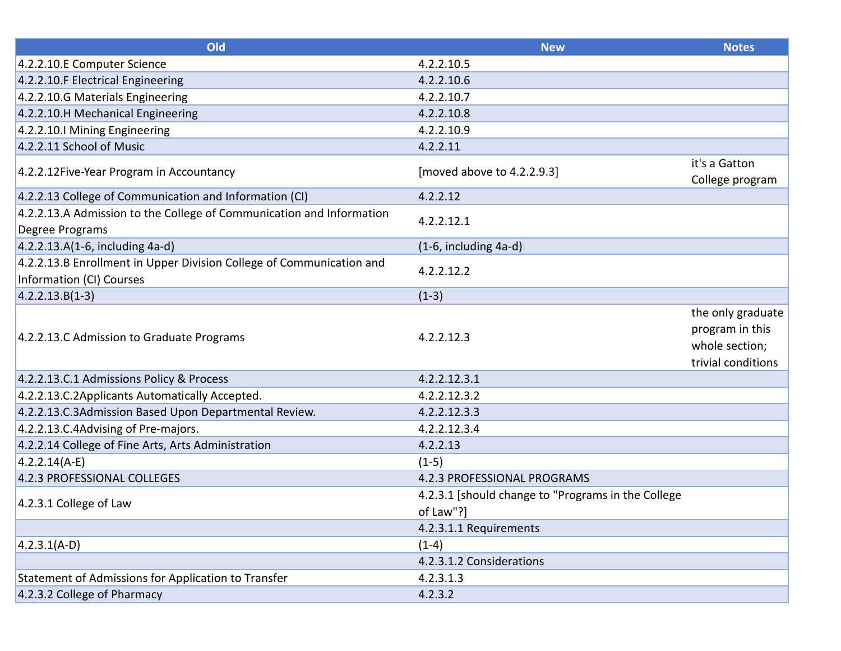| Old                                                                                              | <b>New</b>                                         | <b>Notes</b>                                                                 |
|--------------------------------------------------------------------------------------------------|----------------------------------------------------|------------------------------------------------------------------------------|
| 4.2.2.10.E Computer Science                                                                      | 4.2.2.10.5                                         |                                                                              |
| 4.2.2.10.F Electrical Engineering                                                                | 4.2.2.10.6                                         |                                                                              |
| 4.2.2.10.G Materials Engineering                                                                 | 4.2.2.10.7                                         |                                                                              |
| 4.2.2.10.H Mechanical Engineering                                                                | 4.2.2.10.8                                         |                                                                              |
| 4.2.2.10.I Mining Engineering                                                                    | 4.2.2.10.9                                         |                                                                              |
| 4.2.2.11 School of Music                                                                         | 4.2.2.11                                           |                                                                              |
| 4.2.2.12 Five-Year Program in Accountancy                                                        | [moved above to 4.2.2.9.3]                         | it's a Gatton<br>College program                                             |
| 4.2.2.13 College of Communication and Information (CI)                                           | 4.2.2.12                                           |                                                                              |
| 4.2.2.13.A Admission to the College of Communication and Information<br>Degree Programs          | 4.2.2.12.1                                         |                                                                              |
| 4.2.2.13.A(1-6, including 4a-d)                                                                  | $(1-6,$ including $4a-d$ )                         |                                                                              |
| 4.2.2.13.B Enrollment in Upper Division College of Communication and<br>Information (CI) Courses | 4.2.2.12.2                                         |                                                                              |
| $ 4.2.2.13.B(1-3) $                                                                              | $(1-3)$                                            |                                                                              |
| 4.2.2.13.C Admission to Graduate Programs                                                        | 4.2.2.12.3                                         | the only graduate<br>program in this<br>whole section;<br>trivial conditions |
| 4.2.2.13.C.1 Admissions Policy & Process                                                         | 4.2.2.12.3.1                                       |                                                                              |
| 4.2.2.13.C.2Applicants Automatically Accepted.                                                   | 4.2.2.12.3.2                                       |                                                                              |
| 4.2.2.13.C.3Admission Based Upon Departmental Review.                                            | 4.2.2.12.3.3                                       |                                                                              |
| 4.2.2.13.C.4Advising of Pre-majors.                                                              | 4.2.2.12.3.4                                       |                                                                              |
| 4.2.2.14 College of Fine Arts, Arts Administration                                               | 4.2.2.13                                           |                                                                              |
| $4.2.2.14(A-E)$                                                                                  | $(1-5)$                                            |                                                                              |
| 4.2.3 PROFESSIONAL COLLEGES                                                                      | 4.2.3 PROFESSIONAL PROGRAMS                        |                                                                              |
| 4.2.3.1 College of Law                                                                           | 4.2.3.1 [should change to "Programs in the College |                                                                              |
|                                                                                                  | of Law"?]                                          |                                                                              |
|                                                                                                  | 4.2.3.1.1 Requirements                             |                                                                              |
| $4.2.3.1(A-D)$                                                                                   | $(1-4)$                                            |                                                                              |
|                                                                                                  | 4.2.3.1.2 Considerations                           |                                                                              |
| Statement of Admissions for Application to Transfer                                              | 4.2.3.1.3                                          |                                                                              |
| 4.2.3.2 College of Pharmacy                                                                      | 4.2.3.2                                            |                                                                              |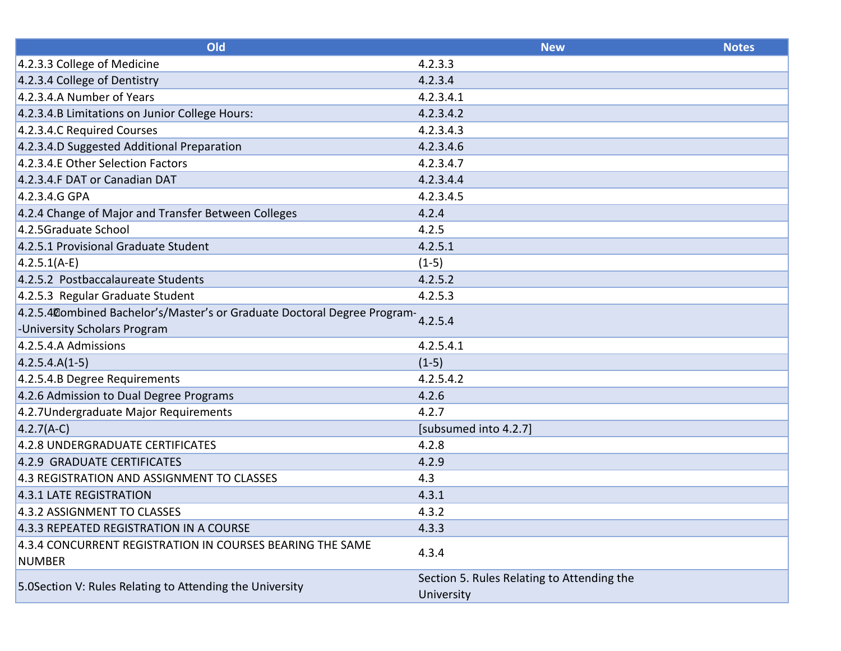| Old                                                                        | <b>New</b>                                 | <b>Notes</b> |
|----------------------------------------------------------------------------|--------------------------------------------|--------------|
| 4.2.3.3 College of Medicine                                                | 4.2.3.3                                    |              |
| 4.2.3.4 College of Dentistry                                               | 4.2.3.4                                    |              |
| 4.2.3.4.A Number of Years                                                  | 4.2.3.4.1                                  |              |
| 4.2.3.4.B Limitations on Junior College Hours:                             | 4.2.3.4.2                                  |              |
| 4.2.3.4.C Required Courses                                                 | 4.2.3.4.3                                  |              |
| 4.2.3.4.D Suggested Additional Preparation                                 | 4.2.3.4.6                                  |              |
| 4.2.3.4.E Other Selection Factors                                          | 4.2.3.4.7                                  |              |
| 4.2.3.4.F DAT or Canadian DAT                                              | 4.2.3.4.4                                  |              |
| 4.2.3.4.G GPA                                                              | 4.2.3.4.5                                  |              |
| 4.2.4 Change of Major and Transfer Between Colleges                        | 4.2.4                                      |              |
| 4.2.5Graduate School                                                       | 4.2.5                                      |              |
| 4.2.5.1 Provisional Graduate Student                                       | 4.2.5.1                                    |              |
| $ 4.2.5.1(A-E) $                                                           | $(1-5)$                                    |              |
| 4.2.5.2 Postbaccalaureate Students                                         | 4.2.5.2                                    |              |
| 4.2.5.3 Regular Graduate Student                                           | 4.2.5.3                                    |              |
| 4.2.5.4 Combined Bachelor's/Master's or Graduate Doctoral Degree Program-  |                                            |              |
| -University Scholars Program                                               |                                            |              |
| 4.2.5.4.A Admissions                                                       | 4.2.5.4.1                                  |              |
| $4.2.5.4.A(1-5)$                                                           | $(1-5)$                                    |              |
| 4.2.5.4.B Degree Requirements                                              | 4.2.5.4.2                                  |              |
| 4.2.6 Admission to Dual Degree Programs                                    | 4.2.6                                      |              |
| 4.2.7Undergraduate Major Requirements                                      | 4.2.7                                      |              |
| $4.2.7(A-C)$                                                               | [subsumed into 4.2.7]                      |              |
| 4.2.8 UNDERGRADUATE CERTIFICATES                                           | 4.2.8                                      |              |
| 4.2.9 GRADUATE CERTIFICATES                                                | 4.2.9                                      |              |
| 4.3 REGISTRATION AND ASSIGNMENT TO CLASSES                                 | 4.3                                        |              |
| 4.3.1 LATE REGISTRATION                                                    | 4.3.1                                      |              |
| 4.3.2 ASSIGNMENT TO CLASSES                                                | 4.3.2                                      |              |
| 4.3.3 REPEATED REGISTRATION IN A COURSE                                    | 4.3.3                                      |              |
| 4.3.4 CONCURRENT REGISTRATION IN COURSES BEARING THE SAME<br><b>NUMBER</b> | 4.3.4                                      |              |
| 5.0Section V: Rules Relating to Attending the University                   | Section 5. Rules Relating to Attending the |              |
|                                                                            | University                                 |              |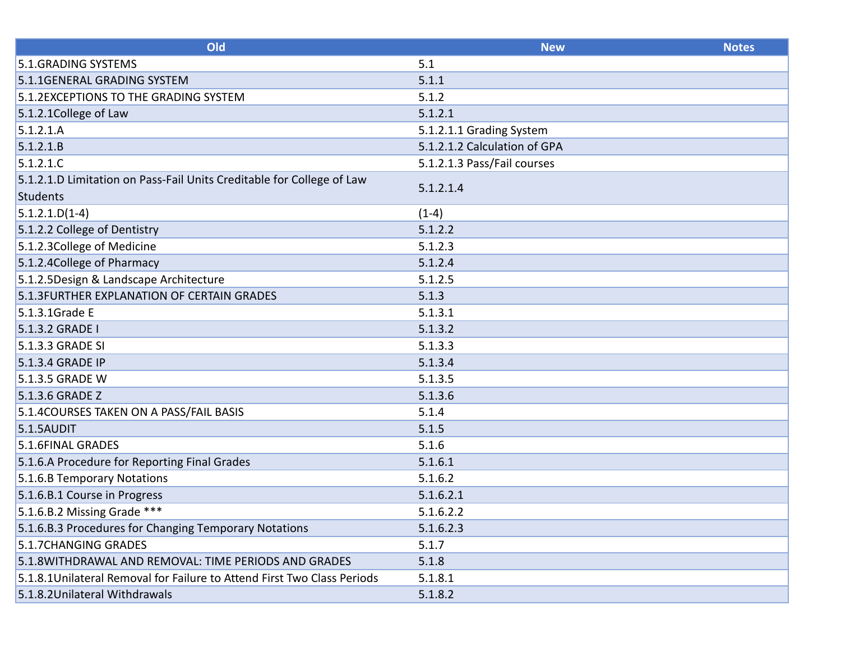| Old                                                                               | <b>New</b>                   | <b>Notes</b> |
|-----------------------------------------------------------------------------------|------------------------------|--------------|
| 5.1. GRADING SYSTEMS                                                              | 5.1                          |              |
| 5.1.1GENERAL GRADING SYSTEM                                                       | 5.1.1                        |              |
| 5.1.2EXCEPTIONS TO THE GRADING SYSTEM                                             | 5.1.2                        |              |
| 5.1.2.1 College of Law                                                            | 5.1.2.1                      |              |
| 5.1.2.1.A                                                                         | 5.1.2.1.1 Grading System     |              |
| 5.1.2.1.B                                                                         | 5.1.2.1.2 Calculation of GPA |              |
| 5.1.2.1.C                                                                         | 5.1.2.1.3 Pass/Fail courses  |              |
| 5.1.2.1.D Limitation on Pass-Fail Units Creditable for College of Law<br>Students | 5.1.2.1.4                    |              |
| $5.1.2.1.D(1-4)$                                                                  | $(1-4)$                      |              |
| 5.1.2.2 College of Dentistry                                                      | 5.1.2.2                      |              |
| 5.1.2.3 College of Medicine                                                       | 5.1.2.3                      |              |
| 5.1.2.4 College of Pharmacy                                                       | 5.1.2.4                      |              |
| 5.1.2.5Design & Landscape Architecture                                            | 5.1.2.5                      |              |
| 5.1.3FURTHER EXPLANATION OF CERTAIN GRADES                                        | 5.1.3                        |              |
| 5.1.3.1Grade E                                                                    | 5.1.3.1                      |              |
| 5.1.3.2 GRADE I                                                                   | 5.1.3.2                      |              |
| 5.1.3.3 GRADE SI                                                                  | 5.1.3.3                      |              |
| 5.1.3.4 GRADE IP                                                                  | 5.1.3.4                      |              |
| 5.1.3.5 GRADE W                                                                   | 5.1.3.5                      |              |
| 5.1.3.6 GRADE Z                                                                   | 5.1.3.6                      |              |
| 5.1.4COURSES TAKEN ON A PASS/FAIL BASIS                                           | 5.1.4                        |              |
| 5.1.5AUDIT                                                                        | 5.1.5                        |              |
| 5.1.6FINAL GRADES                                                                 | 5.1.6                        |              |
| 5.1.6.A Procedure for Reporting Final Grades                                      | 5.1.6.1                      |              |
| 5.1.6.B Temporary Notations                                                       | 5.1.6.2                      |              |
| 5.1.6.B.1 Course in Progress                                                      | 5.1.6.2.1                    |              |
| 5.1.6.B.2 Missing Grade ***                                                       | 5.1.6.2.2                    |              |
| 5.1.6.B.3 Procedures for Changing Temporary Notations                             | 5.1.6.2.3                    |              |
| 5.1.7CHANGING GRADES                                                              | 5.1.7                        |              |
| 5.1.8WITHDRAWAL AND REMOVAL: TIME PERIODS AND GRADES                              | 5.1.8                        |              |
| 5.1.8.1Unilateral Removal for Failure to Attend First Two Class Periods           | 5.1.8.1                      |              |
| 5.1.8.2Unilateral Withdrawals                                                     | 5.1.8.2                      |              |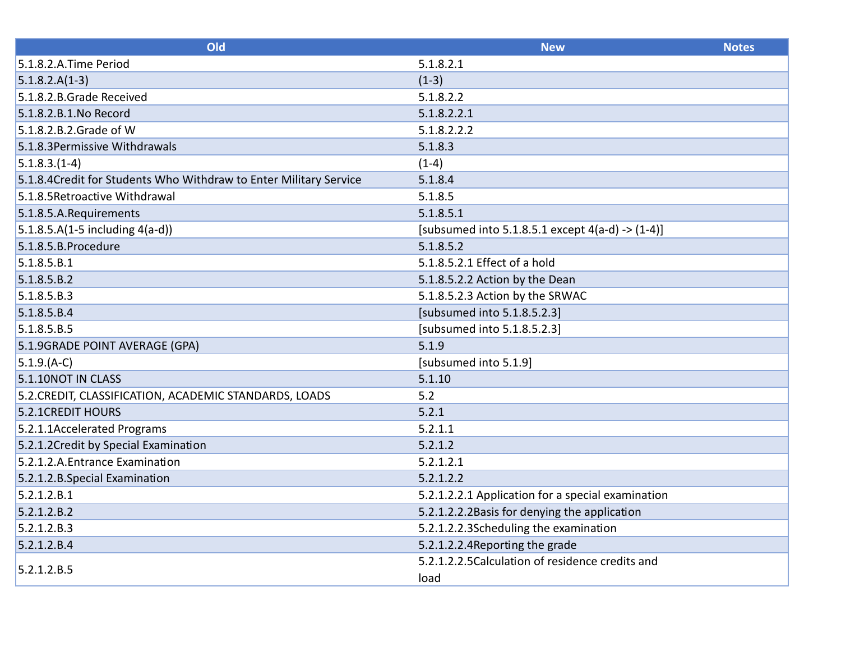| Old                                                                | <b>New</b>                                            | <b>Notes</b> |
|--------------------------------------------------------------------|-------------------------------------------------------|--------------|
| 5.1.8.2.A.Time Period                                              | 5.1.8.2.1                                             |              |
| $5.1.8.2.A(1-3)$                                                   | $(1-3)$                                               |              |
| 5.1.8.2.B.Grade Received                                           | 5.1.8.2.2                                             |              |
| 5.1.8.2.B.1.No Record                                              | 5.1.8.2.2.1                                           |              |
| 5.1.8.2.B.2.Grade of W                                             | 5.1.8.2.2.2                                           |              |
| 5.1.8.3 Permissive Withdrawals                                     | 5.1.8.3                                               |              |
| $5.1.8.3.(1-4)$                                                    | $(1-4)$                                               |              |
| 5.1.8.4 Credit for Students Who Withdraw to Enter Military Service | 5.1.8.4                                               |              |
| 5.1.8.5 Retroactive Withdrawal                                     | 5.1.8.5                                               |              |
| 5.1.8.5.A.Requirements                                             | 5.1.8.5.1                                             |              |
| $5.1.8.5.A(1-5 including 4(a-d))$                                  | [subsumed into 5.1.8.5.1 except $4(a-d)$ -> $(1-4)$ ] |              |
| 5.1.8.5.B.Procedure                                                | 5.1.8.5.2                                             |              |
| 5.1.8.5.B.1                                                        | 5.1.8.5.2.1 Effect of a hold                          |              |
| 5.1.8.5.B.2                                                        | 5.1.8.5.2.2 Action by the Dean                        |              |
| 5.1.8.5.B.3                                                        | 5.1.8.5.2.3 Action by the SRWAC                       |              |
| 5.1.8.5.B.4                                                        | [subsumed into 5.1.8.5.2.3]                           |              |
| 5.1.8.5.B.5                                                        | [subsumed into 5.1.8.5.2.3]                           |              |
| 5.1.9GRADE POINT AVERAGE (GPA)                                     | 5.1.9                                                 |              |
| $5.1.9(A-C)$                                                       | [subsumed into 5.1.9]                                 |              |
| 5.1.10NOT IN CLASS                                                 | 5.1.10                                                |              |
| 5.2. CREDIT, CLASSIFICATION, ACADEMIC STANDARDS, LOADS             | 5.2                                                   |              |
| 5.2.1 CREDIT HOURS                                                 | 5.2.1                                                 |              |
| 5.2.1.1Accelerated Programs                                        | 5.2.1.1                                               |              |
| 5.2.1.2 Credit by Special Examination                              | 5.2.1.2                                               |              |
| 5.2.1.2.A. Entrance Examination                                    | 5.2.1.2.1                                             |              |
| 5.2.1.2.B.Special Examination                                      | 5.2.1.2.2                                             |              |
| 5.2.1.2.B.1                                                        | 5.2.1.2.2.1 Application for a special examination     |              |
| 5.2.1.2.B.2                                                        | 5.2.1.2.2.2Basis for denying the application          |              |
| 5.2.1.2.B.3                                                        | 5.2.1.2.2.3Scheduling the examination                 |              |
| 5.2.1.2.B.4                                                        | 5.2.1.2.2.4 Reporting the grade                       |              |
| 5.2.1.2.B.5                                                        | 5.2.1.2.2.5 Calculation of residence credits and      |              |
|                                                                    | load                                                  |              |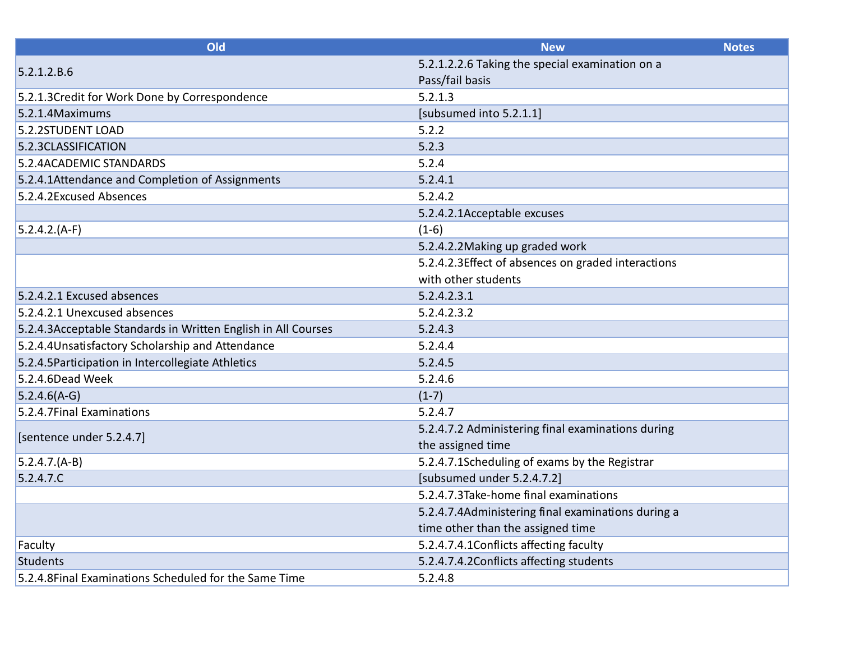| Old                                                           | <b>New</b>                                         | <b>Notes</b> |
|---------------------------------------------------------------|----------------------------------------------------|--------------|
| 5.2.1.2.B.6                                                   | 5.2.1.2.2.6 Taking the special examination on a    |              |
|                                                               | Pass/fail basis                                    |              |
| 5.2.1.3Credit for Work Done by Correspondence                 | 5.2.1.3                                            |              |
| 5.2.1.4 Maximums                                              | [subsumed into 5.2.1.1]                            |              |
| 5.2.2STUDENT LOAD                                             | 5.2.2                                              |              |
| 5.2.3CLASSIFICATION                                           | 5.2.3                                              |              |
| 5.2.4ACADEMIC STANDARDS                                       | 5.2.4                                              |              |
| 5.2.4.1Attendance and Completion of Assignments               | 5.2.4.1                                            |              |
| 5.2.4.2Excused Absences                                       | 5.2.4.2                                            |              |
|                                                               | 5.2.4.2.1Acceptable excuses                        |              |
| $5.2.4.2(A-F)$                                                | $(1-6)$                                            |              |
|                                                               | 5.2.4.2.2Making up graded work                     |              |
|                                                               | 5.2.4.2.3Effect of absences on graded interactions |              |
|                                                               | with other students                                |              |
| 5.2.4.2.1 Excused absences                                    | 5.2.4.2.3.1                                        |              |
| 5.2.4.2.1 Unexcused absences                                  | 5.2.4.2.3.2                                        |              |
| 5.2.4.3Acceptable Standards in Written English in All Courses | 5.2.4.3                                            |              |
| 5.2.4.4Unsatisfactory Scholarship and Attendance              | 5.2.4.4                                            |              |
| 5.2.4.5 Participation in Intercollegiate Athletics            | 5.2.4.5                                            |              |
| 5.2.4.6Dead Week                                              | 5.2.4.6                                            |              |
| $5.2.4.6(A-G)$                                                | $(1-7)$                                            |              |
| 5.2.4.7Final Examinations                                     | 5.2.4.7                                            |              |
|                                                               | 5.2.4.7.2 Administering final examinations during  |              |
| [sentence under 5.2.4.7]                                      | the assigned time                                  |              |
| $5.2.4.7.(A-B)$                                               | 5.2.4.7.1Scheduling of exams by the Registrar      |              |
| 5.2.4.7.C                                                     | [subsumed under 5.2.4.7.2]                         |              |
|                                                               | 5.2.4.7.3Take-home final examinations              |              |
|                                                               | 5.2.4.7.4Administering final examinations during a |              |
|                                                               | time other than the assigned time                  |              |
| Faculty                                                       | 5.2.4.7.4.1 Conflicts affecting faculty            |              |
| <b>Students</b>                                               | 5.2.4.7.4.2Conflicts affecting students            |              |
| 5.2.4.8Final Examinations Scheduled for the Same Time         | 5.2.4.8                                            |              |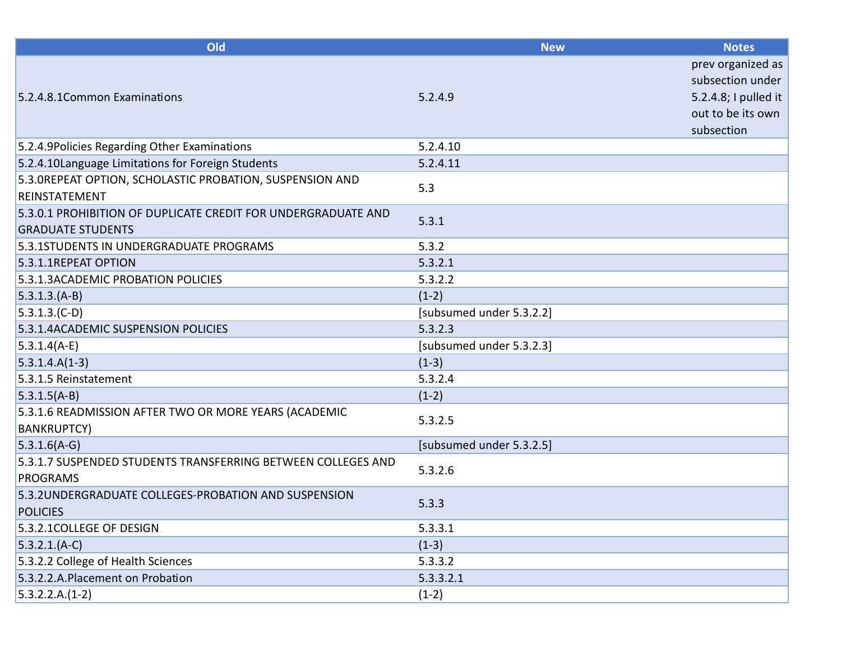| Old                                                                                       | <b>New</b>               | <b>Notes</b>                                                                                     |
|-------------------------------------------------------------------------------------------|--------------------------|--------------------------------------------------------------------------------------------------|
| 5.2.4.8.1 Common Examinations                                                             | 5.2.4.9                  | prev organized as<br>subsection under<br>5.2.4.8; I pulled it<br>out to be its own<br>subsection |
| 5.2.4.9Policies Regarding Other Examinations                                              | 5.2.4.10                 |                                                                                                  |
| 5.2.4.10Language Limitations for Foreign Students                                         | 5.2.4.11                 |                                                                                                  |
| 5.3. OREPEAT OPTION, SCHOLASTIC PROBATION, SUSPENSION AND<br><b>REINSTATEMENT</b>         | 5.3                      |                                                                                                  |
| 5.3.0.1 PROHIBITION OF DUPLICATE CREDIT FOR UNDERGRADUATE AND<br><b>GRADUATE STUDENTS</b> | 5.3.1                    |                                                                                                  |
| 5.3.1STUDENTS IN UNDERGRADUATE PROGRAMS                                                   | 5.3.2                    |                                                                                                  |
| 5.3.1.1REPEAT OPTION                                                                      | 5.3.2.1                  |                                                                                                  |
| 5.3.1.3ACADEMIC PROBATION POLICIES                                                        | 5.3.2.2                  |                                                                                                  |
| $5.3.1.3(A-B)$                                                                            | $(1-2)$                  |                                                                                                  |
| $5.3.1.3(C-D)$                                                                            | [subsumed under 5.3.2.2] |                                                                                                  |
| 5.3.1.4ACADEMIC SUSPENSION POLICIES                                                       | 5.3.2.3                  |                                                                                                  |
| $5.3.1.4(A-E)$                                                                            | [subsumed under 5.3.2.3] |                                                                                                  |
| $5.3.1.4.A(1-3)$                                                                          | $(1-3)$                  |                                                                                                  |
| 5.3.1.5 Reinstatement                                                                     | 5.3.2.4                  |                                                                                                  |
| $5.3.1.5(A-B)$                                                                            | $(1-2)$                  |                                                                                                  |
| 5.3.1.6 READMISSION AFTER TWO OR MORE YEARS (ACADEMIC<br><b>BANKRUPTCY)</b>               | 5.3.2.5                  |                                                                                                  |
| $5.3.1.6(A-G)$                                                                            | [subsumed under 5.3.2.5] |                                                                                                  |
| 5.3.1.7 SUSPENDED STUDENTS TRANSFERRING BETWEEN COLLEGES AND<br><b>PROGRAMS</b>           | 5.3.2.6                  |                                                                                                  |
| 5.3.2UNDERGRADUATE COLLEGES-PROBATION AND SUSPENSION<br><b>POLICIES</b>                   | 5.3.3                    |                                                                                                  |
| 5.3.2.1 COLLEGE OF DESIGN                                                                 | 5.3.3.1                  |                                                                                                  |
| $5.3.2.1(A-C)$                                                                            | $(1-3)$                  |                                                                                                  |
| 5.3.2.2 College of Health Sciences                                                        | 5.3.3.2                  |                                                                                                  |
| 5.3.2.2.A.Placement on Probation                                                          | 5.3.3.2.1                |                                                                                                  |
| $5.3.2.2.A.(1-2)$                                                                         | $(1-2)$                  |                                                                                                  |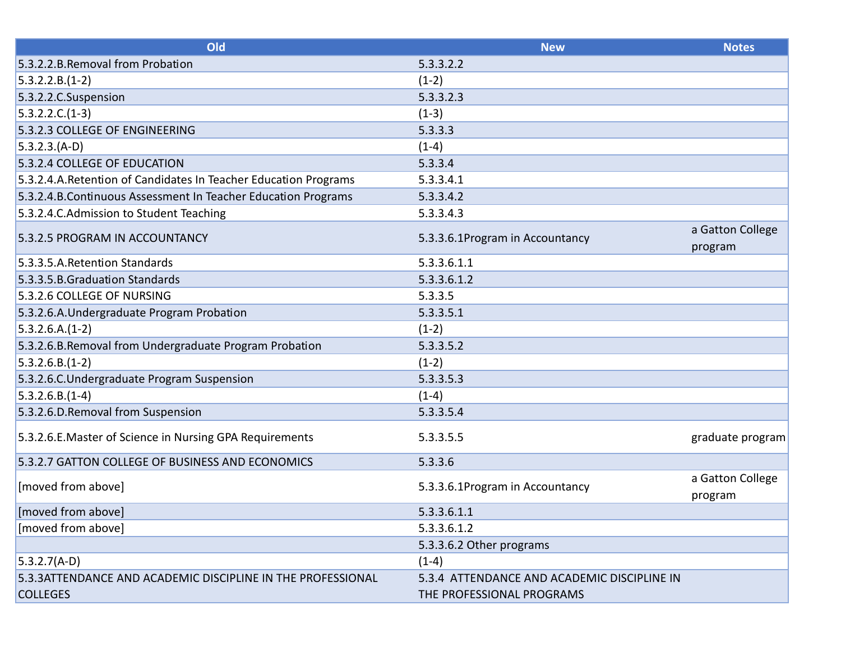| Old                                                              | <b>New</b>                                  | <b>Notes</b>                |
|------------------------------------------------------------------|---------------------------------------------|-----------------------------|
| 5.3.2.2.B. Removal from Probation                                | 5.3.3.2.2                                   |                             |
| $5.3.2.2.B.(1-2)$                                                | $(1-2)$                                     |                             |
| 5.3.2.2.C.Suspension                                             | 5.3.3.2.3                                   |                             |
| $5.3.2.2.C.(1-3)$                                                | $(1-3)$                                     |                             |
| 5.3.2.3 COLLEGE OF ENGINEERING                                   | 5.3.3.3                                     |                             |
| $5.3.2.3(A-D)$                                                   | $(1-4)$                                     |                             |
| 5.3.2.4 COLLEGE OF EDUCATION                                     | 5.3.3.4                                     |                             |
| 5.3.2.4.A. Retention of Candidates In Teacher Education Programs | 5.3.3.4.1                                   |                             |
| 5.3.2.4.B.Continuous Assessment In Teacher Education Programs    | 5.3.3.4.2                                   |                             |
| 5.3.2.4.C.Admission to Student Teaching                          | 5.3.3.4.3                                   |                             |
| 5.3.2.5 PROGRAM IN ACCOUNTANCY                                   | 5.3.3.6.1Program in Accountancy             | a Gatton College<br>program |
| 5.3.3.5.A. Retention Standards                                   | 5.3.3.6.1.1                                 |                             |
| 5.3.3.5.B. Graduation Standards                                  | 5.3.3.6.1.2                                 |                             |
| 5.3.2.6 COLLEGE OF NURSING                                       | 5.3.3.5                                     |                             |
| 5.3.2.6.A. Undergraduate Program Probation                       | 5.3.3.5.1                                   |                             |
| $5.3.2.6.A.(1-2)$                                                | $(1-2)$                                     |                             |
| 5.3.2.6.B.Removal from Undergraduate Program Probation           | 5.3.3.5.2                                   |                             |
| $5.3.2.6.B.(1-2)$                                                | $(1-2)$                                     |                             |
| 5.3.2.6.C.Undergraduate Program Suspension                       | 5.3.3.5.3                                   |                             |
| $5.3.2.6.B.(1-4)$                                                | $(1-4)$                                     |                             |
| 5.3.2.6.D.Removal from Suspension                                | 5.3.3.5.4                                   |                             |
| 5.3.2.6.E. Master of Science in Nursing GPA Requirements         | 5.3.3.5.5                                   | graduate program            |
| 5.3.2.7 GATTON COLLEGE OF BUSINESS AND ECONOMICS                 | 5.3.3.6                                     |                             |
| [moved from above]                                               | 5.3.3.6.1Program in Accountancy             | a Gatton College<br>program |
| [moved from above]                                               | 5.3.3.6.1.1                                 |                             |
| [moved from above]                                               | 5.3.3.6.1.2                                 |                             |
|                                                                  | 5.3.3.6.2 Other programs                    |                             |
| $ 5.3.2.7(A-D) $                                                 | $(1-4)$                                     |                             |
| 5.3.3ATTENDANCE AND ACADEMIC DISCIPLINE IN THE PROFESSIONAL      | 5.3.4 ATTENDANCE AND ACADEMIC DISCIPLINE IN |                             |
| <b>COLLEGES</b>                                                  | THE PROFESSIONAL PROGRAMS                   |                             |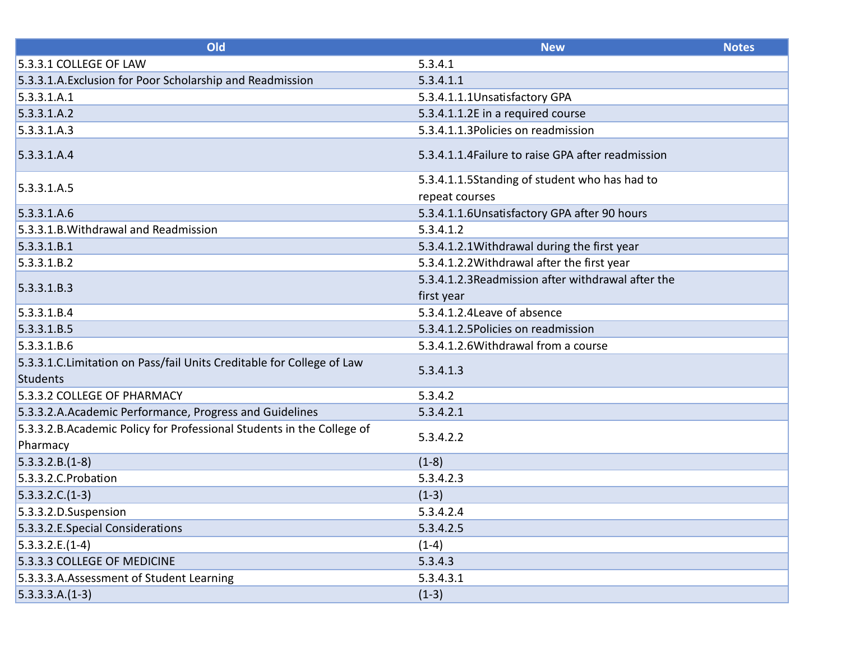| Old                                                                                       | <b>New</b>                                                      | <b>Notes</b> |
|-------------------------------------------------------------------------------------------|-----------------------------------------------------------------|--------------|
| 5.3.3.1 COLLEGE OF LAW                                                                    | 5.3.4.1                                                         |              |
| 5.3.3.1.A. Exclusion for Poor Scholarship and Readmission                                 | 5.3.4.1.1                                                       |              |
| 5.3.3.1.A.1                                                                               | 5.3.4.1.1.1Unsatisfactory GPA                                   |              |
| 5.3.3.1.A.2                                                                               | 5.3.4.1.1.2E in a required course                               |              |
| 5.3.3.1.A.3                                                                               | 5.3.4.1.1.3 Policies on readmission                             |              |
| 5.3.3.1.A.4                                                                               | 5.3.4.1.1.4 Failure to raise GPA after readmission              |              |
| 5.3.3.1.A.5                                                                               | 5.3.4.1.1.5Standing of student who has had to<br>repeat courses |              |
| 5.3.3.1.A.6                                                                               | 5.3.4.1.1.6Unsatisfactory GPA after 90 hours                    |              |
| 5.3.3.1.B. Withdrawal and Readmission                                                     | 5.3.4.1.2                                                       |              |
| 5.3.3.1.B.1                                                                               | 5.3.4.1.2.1 Withdrawal during the first year                    |              |
| 5.3.3.1.B.2                                                                               | 5.3.4.1.2.2 Withdrawal after the first year                     |              |
|                                                                                           | 5.3.4.1.2.3Readmission after withdrawal after the               |              |
| 5.3.3.1.B.3                                                                               | first year                                                      |              |
| 5.3.3.1.B.4                                                                               | 5.3.4.1.2.4 Leave of absence                                    |              |
| 5.3.3.1.B.5                                                                               | 5.3.4.1.2.5Policies on readmission                              |              |
| 5.3.3.1.B.6                                                                               | 5.3.4.1.2.6 Withdrawal from a course                            |              |
| 5.3.3.1.C. Limitation on Pass/fail Units Creditable for College of Law<br><b>Students</b> | 5.3.4.1.3                                                       |              |
| 5.3.3.2 COLLEGE OF PHARMACY                                                               | 5.3.4.2                                                         |              |
| 5.3.3.2.A.Academic Performance, Progress and Guidelines                                   | 5.3.4.2.1                                                       |              |
| 5.3.3.2.B.Academic Policy for Professional Students in the College of<br>Pharmacy         | 5.3.4.2.2                                                       |              |
| $5.3.3.2.B.(1-8)$                                                                         | $(1-8)$                                                         |              |
| 5.3.3.2.C.Probation                                                                       | 5.3.4.2.3                                                       |              |
| $5.3.3.2.C.(1-3)$                                                                         | $(1-3)$                                                         |              |
| 5.3.3.2.D.Suspension                                                                      | 5.3.4.2.4                                                       |              |
| 5.3.3.2.E.Special Considerations                                                          | 5.3.4.2.5                                                       |              |
| $5.3.3.2.E.(1-4)$                                                                         | $(1-4)$                                                         |              |
| 5.3.3.3 COLLEGE OF MEDICINE                                                               | 5.3.4.3                                                         |              |
| 5.3.3.3.A.Assessment of Student Learning                                                  | 5.3.4.3.1                                                       |              |
| $5.3.3.3.A.(1-3)$                                                                         | $(1-3)$                                                         |              |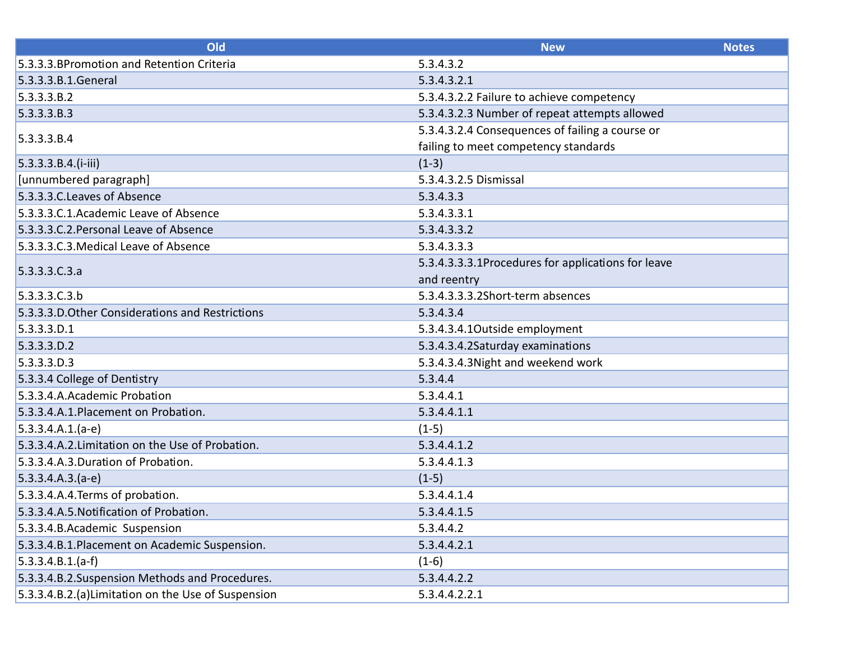| Old                                                 | <b>New</b>                                         | <b>Notes</b> |
|-----------------------------------------------------|----------------------------------------------------|--------------|
| 5.3.3.3. BPromotion and Retention Criteria          | 5.3.4.3.2                                          |              |
| 5.3.3.3.B.1.General                                 | 5.3.4.3.2.1                                        |              |
| 5.3.3.3.B.2                                         | 5.3.4.3.2.2 Failure to achieve competency          |              |
| 5.3.3.3.B.3                                         | 5.3.4.3.2.3 Number of repeat attempts allowed      |              |
| 5.3.3.3.B.4                                         | 5.3.4.3.2.4 Consequences of failing a course or    |              |
|                                                     | failing to meet competency standards               |              |
| $5.3.3.3.8.4. (i-iii)$                              | $(1-3)$                                            |              |
| [unnumbered paragraph]                              | 5.3.4.3.2.5 Dismissal                              |              |
| 5.3.3.3.C. Leaves of Absence                        | 5.3.4.3.3                                          |              |
| 5.3.3.3.C.1.Academic Leave of Absence               | 5.3.4.3.3.1                                        |              |
| 5.3.3.3.C.2. Personal Leave of Absence              | 5.3.4.3.3.2                                        |              |
| 5.3.3.3.C.3. Medical Leave of Absence               | 5.3.4.3.3.3                                        |              |
| 5.3.3.3.C.3.a                                       | 5.3.4.3.3.3.1Procedures for applications for leave |              |
|                                                     | and reentry                                        |              |
| 5.3.3.3.C.3.b                                       | 5.3.4.3.3.3.2Short-term absences                   |              |
| 5.3.3.3.D. Other Considerations and Restrictions    | 5.3.4.3.4                                          |              |
| $5.3.3.3.$ D.1                                      | 5.3.4.3.4.1Outside employment                      |              |
| $5.3.3.3.$ D.2                                      | 5.3.4.3.4.2Saturday examinations                   |              |
| 5.3.3.3.0.3                                         | 5.3.4.3.4.3 Night and weekend work                 |              |
| 5.3.3.4 College of Dentistry                        | 5.3.4.4                                            |              |
| 5.3.3.4.A.Academic Probation                        | 5.3.4.4.1                                          |              |
| 5.3.3.4.A.1.Placement on Probation.                 | 5.3.4.4.1.1                                        |              |
| $5.3.3.4.A.1.(a-e)$                                 | $(1-5)$                                            |              |
| 5.3.3.4.A.2. Limitation on the Use of Probation.    | 5.3.4.4.1.2                                        |              |
| 5.3.3.4.A.3.Duration of Probation.                  | 5.3.4.4.1.3                                        |              |
| $5.3.3.4.A.3.(a-e)$                                 | $(1-5)$                                            |              |
| 5.3.3.4.A.4. Terms of probation.                    | 5.3.4.4.1.4                                        |              |
| 5.3.3.4.A.5. Notification of Probation.             | 5.3.4.4.1.5                                        |              |
| 5.3.3.4.B.Academic Suspension                       | 5.3.4.4.2                                          |              |
| 5.3.3.4.B.1.Placement on Academic Suspension.       | 5.3.4.4.2.1                                        |              |
| $5.3.3.4.B.1.(a-f)$                                 | $(1-6)$                                            |              |
| 5.3.3.4.B.2.Suspension Methods and Procedures.      | 5.3.4.4.2.2                                        |              |
| 5.3.3.4.B.2.(a) Limitation on the Use of Suspension | 5.3.4.4.2.2.1                                      |              |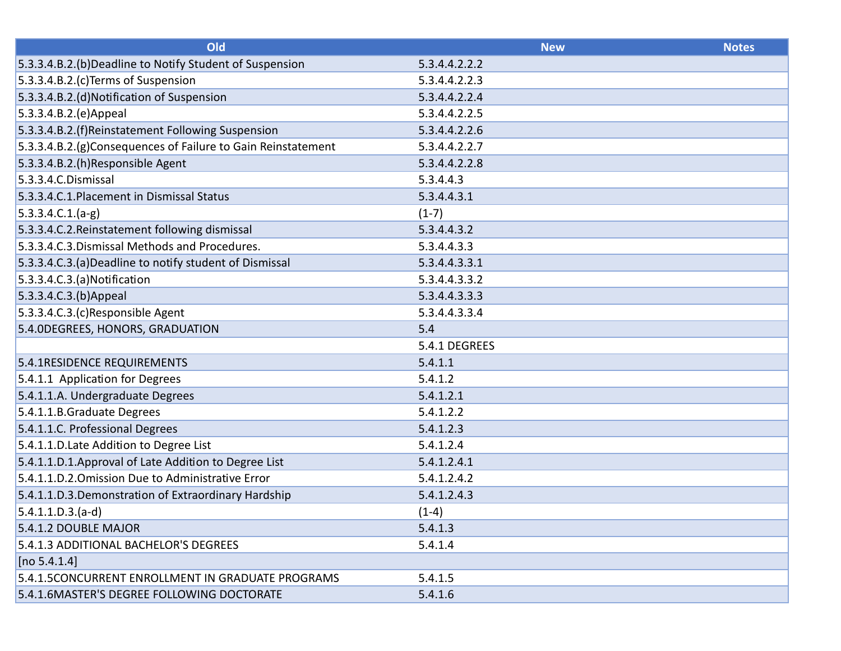| Old                                                          | <b>New</b>    | <b>Notes</b> |
|--------------------------------------------------------------|---------------|--------------|
| 5.3.3.4.B.2.(b)Deadline to Notify Student of Suspension      | 5.3.4.4.2.2.2 |              |
| 5.3.3.4.B.2.(c)Terms of Suspension                           | 5.3.4.4.2.2.3 |              |
| 5.3.3.4.B.2.(d) Notification of Suspension                   | 5.3.4.4.2.2.4 |              |
| 5.3.3.4.B.2.(e)Appeal                                        | 5.3.4.4.2.2.5 |              |
| 5.3.3.4.B.2.(f)Reinstatement Following Suspension            | 5.3.4.4.2.2.6 |              |
| 5.3.3.4.B.2.(g)Consequences of Failure to Gain Reinstatement | 5.3.4.4.2.2.7 |              |
| 5.3.3.4.B.2.(h)Responsible Agent                             | 5.3.4.4.2.2.8 |              |
| 5.3.3.4.C.Dismissal                                          | 5.3.4.4.3     |              |
| 5.3.3.4.C.1. Placement in Dismissal Status                   | 5.3.4.4.3.1   |              |
| $ 5.3.3.4.C.1.(a-g) $                                        | $(1-7)$       |              |
| 5.3.3.4.C.2. Reinstatement following dismissal               | 5.3.4.4.3.2   |              |
| 5.3.3.4.C.3.Dismissal Methods and Procedures.                | 5.3.4.4.3.3   |              |
| 5.3.3.4.C.3.(a)Deadline to notify student of Dismissal       | 5.3.4.4.3.3.1 |              |
| 5.3.3.4.C.3.(a)Notification                                  | 5.3.4.4.3.3.2 |              |
| 5.3.3.4.C.3.(b)Appeal                                        | 5.3.4.4.3.3.3 |              |
| 5.3.3.4.C.3.(c)Responsible Agent                             | 5.3.4.4.3.3.4 |              |
| 5.4.0DEGREES, HONORS, GRADUATION                             | 5.4           |              |
|                                                              | 5.4.1 DEGREES |              |
| 5.4.1RESIDENCE REQUIREMENTS                                  | 5.4.1.1       |              |
| 5.4.1.1 Application for Degrees                              | 5.4.1.2       |              |
| 5.4.1.1.A. Undergraduate Degrees                             | 5.4.1.2.1     |              |
| 5.4.1.1.B.Graduate Degrees                                   | 5.4.1.2.2     |              |
| 5.4.1.1.C. Professional Degrees                              | 5.4.1.2.3     |              |
| 5.4.1.1.D. Late Addition to Degree List                      | 5.4.1.2.4     |              |
| 5.4.1.1.D.1.Approval of Late Addition to Degree List         | 5.4.1.2.4.1   |              |
| 5.4.1.1.D.2. Omission Due to Administrative Error            | 5.4.1.2.4.2   |              |
| 5.4.1.1.D.3.Demonstration of Extraordinary Hardship          | 5.4.1.2.4.3   |              |
| $5.4.1.1.D.3.(a-d)$                                          | $(1-4)$       |              |
| 5.4.1.2 DOUBLE MAJOR                                         | 5.4.1.3       |              |
| 5.4.1.3 ADDITIONAL BACHELOR'S DEGREES                        | 5.4.1.4       |              |
| [no 5.4.1.4]                                                 |               |              |
| 5.4.1.5CONCURRENT ENROLLMENT IN GRADUATE PROGRAMS            | 5.4.1.5       |              |
| 5.4.1.6MASTER'S DEGREE FOLLOWING DOCTORATE                   | 5.4.1.6       |              |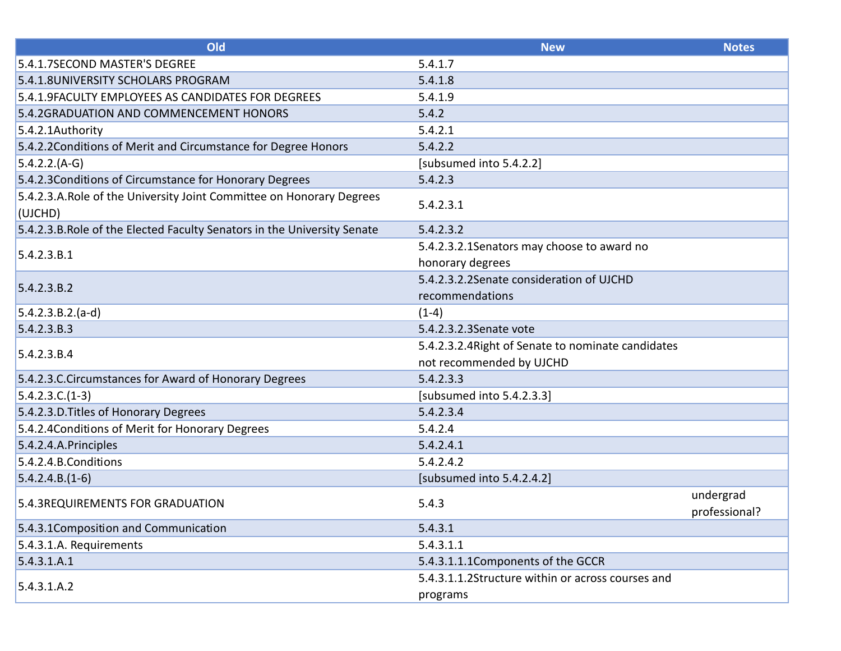| Old                                                                              | <b>New</b>                                         | <b>Notes</b>               |
|----------------------------------------------------------------------------------|----------------------------------------------------|----------------------------|
| 5.4.1.7SECOND MASTER'S DEGREE                                                    | 5.4.1.7                                            |                            |
| 5.4.1.8UNIVERSITY SCHOLARS PROGRAM                                               | 5.4.1.8                                            |                            |
| 5.4.1.9FACULTY EMPLOYEES AS CANDIDATES FOR DEGREES                               | 5.4.1.9                                            |                            |
| 5.4.2GRADUATION AND COMMENCEMENT HONORS                                          | 5.4.2                                              |                            |
| 5.4.2.1Authority                                                                 | 5.4.2.1                                            |                            |
| 5.4.2.2Conditions of Merit and Circumstance for Degree Honors                    | 5.4.2.2                                            |                            |
| $5.4.2.2.(A-G)$                                                                  | [subsumed into 5.4.2.2]                            |                            |
| 5.4.2.3 Conditions of Circumstance for Honorary Degrees                          | 5.4.2.3                                            |                            |
| 5.4.2.3.A. Role of the University Joint Committee on Honorary Degrees<br>(UJCHD) | 5.4.2.3.1                                          |                            |
| 5.4.2.3.B. Role of the Elected Faculty Senators in the University Senate         | 5.4.2.3.2                                          |                            |
| 5.4.2.3.B.1                                                                      | 5.4.2.3.2.1 Senators may choose to award no        |                            |
|                                                                                  | honorary degrees                                   |                            |
| 5.4.2.3.B.2                                                                      | 5.4.2.3.2.2Senate consideration of UJCHD           |                            |
|                                                                                  | recommendations                                    |                            |
| $5.4.2.3.B.2.(a-d)$                                                              | $(1-4)$                                            |                            |
| 5.4.2.3.B.3                                                                      | 5.4.2.3.2.3 Senate vote                            |                            |
| 5.4.2.3.B.4                                                                      | 5.4.2.3.2.4 Right of Senate to nominate candidates |                            |
|                                                                                  | not recommended by UJCHD                           |                            |
| 5.4.2.3.C.Circumstances for Award of Honorary Degrees                            | 5.4.2.3.3                                          |                            |
| $5.4.2.3.C.(1-3)$                                                                | [subsumed into 5.4.2.3.3]                          |                            |
| 5.4.2.3.D. Titles of Honorary Degrees                                            | 5.4.2.3.4                                          |                            |
| 5.4.2.4 Conditions of Merit for Honorary Degrees                                 | 5.4.2.4                                            |                            |
| 5.4.2.4.A.Principles                                                             | 5.4.2.4.1                                          |                            |
| 5.4.2.4.B.Conditions                                                             | 5.4.2.4.2                                          |                            |
| $5.4.2.4.B.(1-6)$                                                                | [subsumed into 5.4.2.4.2]                          |                            |
| 5.4.3REQUIREMENTS FOR GRADUATION                                                 | 5.4.3                                              | undergrad<br>professional? |
| 5.4.3.1 Composition and Communication                                            | 5.4.3.1                                            |                            |
| 5.4.3.1.A. Requirements                                                          | 5.4.3.1.1                                          |                            |
| 5.4.3.1.A.1                                                                      | 5.4.3.1.1.1Components of the GCCR                  |                            |
| 5.4.3.1.A.2                                                                      | 5.4.3.1.1.2Structure within or across courses and  |                            |
|                                                                                  | programs                                           |                            |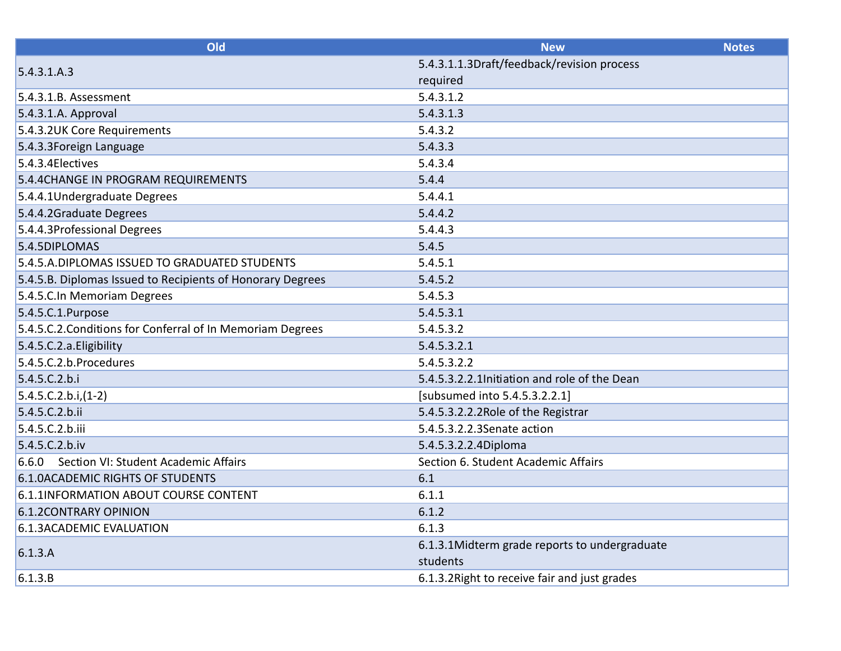| Old                                                        | <b>New</b>                                    | <b>Notes</b> |
|------------------------------------------------------------|-----------------------------------------------|--------------|
| 5.4.3.1.A.3                                                | 5.4.3.1.1.3Draft/feedback/revision process    |              |
|                                                            | required                                      |              |
| 5.4.3.1.B. Assessment                                      | 5.4.3.1.2                                     |              |
| 5.4.3.1.A. Approval                                        | 5.4.3.1.3                                     |              |
| 5.4.3.2UK Core Requirements                                | 5.4.3.2                                       |              |
| 5.4.3.3 Foreign Language                                   | 5.4.3.3                                       |              |
| 5.4.3.4 Electives                                          | 5.4.3.4                                       |              |
| 5.4.4 CHANGE IN PROGRAM REQUIREMENTS                       | 5.4.4                                         |              |
| 5.4.4.1Undergraduate Degrees                               | 5.4.4.1                                       |              |
| 5.4.4.2Graduate Degrees                                    | 5.4.4.2                                       |              |
| 5.4.4.3Professional Degrees                                | 5.4.4.3                                       |              |
| 5.4.5DIPLOMAS                                              | 5.4.5                                         |              |
| 5.4.5.A.DIPLOMAS ISSUED TO GRADUATED STUDENTS              | 5.4.5.1                                       |              |
| 5.4.5.B. Diplomas Issued to Recipients of Honorary Degrees | 5.4.5.2                                       |              |
| 5.4.5.C.In Memoriam Degrees                                | 5.4.5.3                                       |              |
| 5.4.5.C.1.Purpose                                          | 5.4.5.3.1                                     |              |
| 5.4.5.C.2. Conditions for Conferral of In Memoriam Degrees | 5.4.5.3.2                                     |              |
| 5.4.5.C.2.a. Eligibility                                   | 5.4.5.3.2.1                                   |              |
| 5.4.5.C.2.b.Procedures                                     | 5.4.5.3.2.2                                   |              |
| 5.4.5.C.2.b.i                                              | 5.4.5.3.2.2.1Initiation and role of the Dean  |              |
| $5.4.5.C.2.b.i.(1-2)$                                      | [subsumed into 5.4.5.3.2.2.1]                 |              |
| 5.4.5.C.2.b.ii                                             | 5.4.5.3.2.2.2Role of the Registrar            |              |
| 5.4.5.C.2.b.iii                                            | 5.4.5.3.2.2.3Senate action                    |              |
| 5.4.5.C.2.b.iv                                             | 5.4.5.3.2.2.4Diploma                          |              |
| Section VI: Student Academic Affairs<br>6.6.0              | Section 6. Student Academic Affairs           |              |
| <b>6.1.0ACADEMIC RIGHTS OF STUDENTS</b>                    | 6.1                                           |              |
| 6.1.1INFORMATION ABOUT COURSE CONTENT                      | 6.1.1                                         |              |
| <b>6.1.2CONTRARY OPINION</b>                               | 6.1.2                                         |              |
| 6.1.3ACADEMIC EVALUATION                                   | 6.1.3                                         |              |
| 6.1.3.A                                                    | 6.1.3.1Midterm grade reports to undergraduate |              |
|                                                            | students                                      |              |
| 6.1.3.B                                                    | 6.1.3.2 Right to receive fair and just grades |              |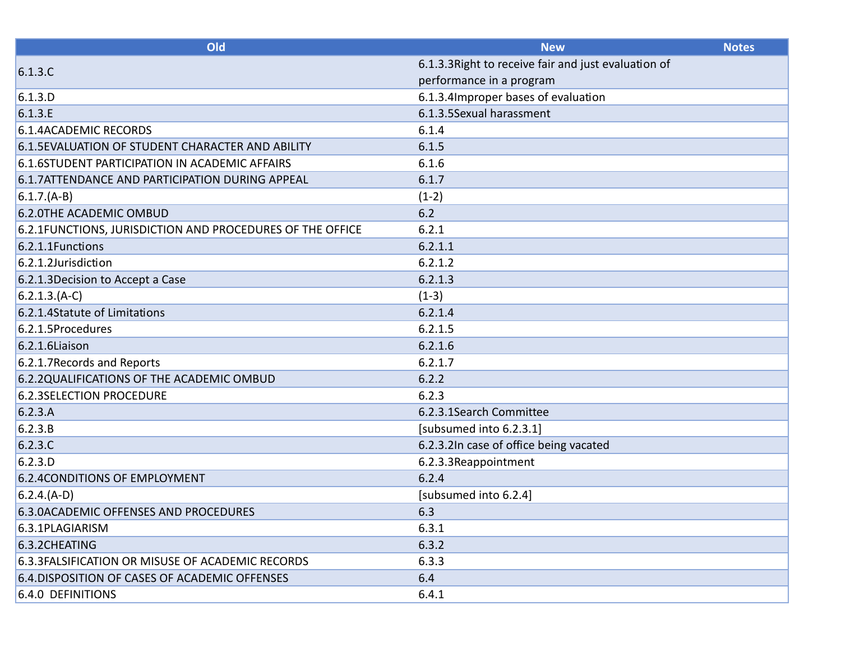| Old                                                        | <b>New</b>                                           | <b>Notes</b> |
|------------------------------------------------------------|------------------------------------------------------|--------------|
| 6.1.3.C                                                    | 6.1.3.3 Right to receive fair and just evaluation of |              |
|                                                            | performance in a program                             |              |
| 6.1.3.D                                                    | 6.1.3.4 Improper bases of evaluation                 |              |
| 6.1.3.E                                                    | 6.1.3.5Sexual harassment                             |              |
| <b>6.1.4ACADEMIC RECORDS</b>                               | 6.1.4                                                |              |
| 6.1.5 EVALUATION OF STUDENT CHARACTER AND ABILITY          | 6.1.5                                                |              |
| 6.1.6STUDENT PARTICIPATION IN ACADEMIC AFFAIRS             | 6.1.6                                                |              |
| 6.1.7ATTENDANCE AND PARTICIPATION DURING APPEAL            | 6.1.7                                                |              |
| $6.1.7.(A-B)$                                              | $(1-2)$                                              |              |
| 6.2.0THE ACADEMIC OMBUD                                    | 6.2                                                  |              |
| 6.2.1 FUNCTIONS, JURISDICTION AND PROCEDURES OF THE OFFICE | 6.2.1                                                |              |
| 6.2.1.1Functions                                           | 6.2.1.1                                              |              |
| 6.2.1.2Jurisdiction                                        | 6.2.1.2                                              |              |
| 6.2.1.3 Decision to Accept a Case                          | 6.2.1.3                                              |              |
| $6.2.1.3.(A-C)$                                            | $(1-3)$                                              |              |
| 6.2.1.4Statute of Limitations                              | 6.2.1.4                                              |              |
| 6.2.1.5Procedures                                          | 6.2.1.5                                              |              |
| 6.2.1.6Liaison                                             | 6.2.1.6                                              |              |
| 6.2.1.7 Records and Reports                                | 6.2.1.7                                              |              |
| 6.2.2QUALIFICATIONS OF THE ACADEMIC OMBUD                  | 6.2.2                                                |              |
| <b>6.2.3SELECTION PROCEDURE</b>                            | 6.2.3                                                |              |
| 6.2.3.A                                                    | 6.2.3.1Search Committee                              |              |
| 6.2.3.B                                                    | [subsumed into 6.2.3.1]                              |              |
| 6.2.3.C                                                    | 6.2.3.2In case of office being vacated               |              |
| 6.2.3.D                                                    | 6.2.3.3Reappointment                                 |              |
| <b>6.2.4 CONDITIONS OF EMPLOYMENT</b>                      | 6.2.4                                                |              |
| $6.2.4.(A-D)$                                              | [subsumed into 6.2.4]                                |              |
| 6.3.0ACADEMIC OFFENSES AND PROCEDURES                      | 6.3                                                  |              |
| 6.3.1PLAGIARISM                                            | 6.3.1                                                |              |
| 6.3.2CHEATING                                              | 6.3.2                                                |              |
| 6.3.3 FALSIFICATION OR MISUSE OF ACADEMIC RECORDS          | 6.3.3                                                |              |
| 6.4. DISPOSITION OF CASES OF ACADEMIC OFFENSES             | 6.4                                                  |              |
| <b>6.4.0 DEFINITIONS</b>                                   | 6.4.1                                                |              |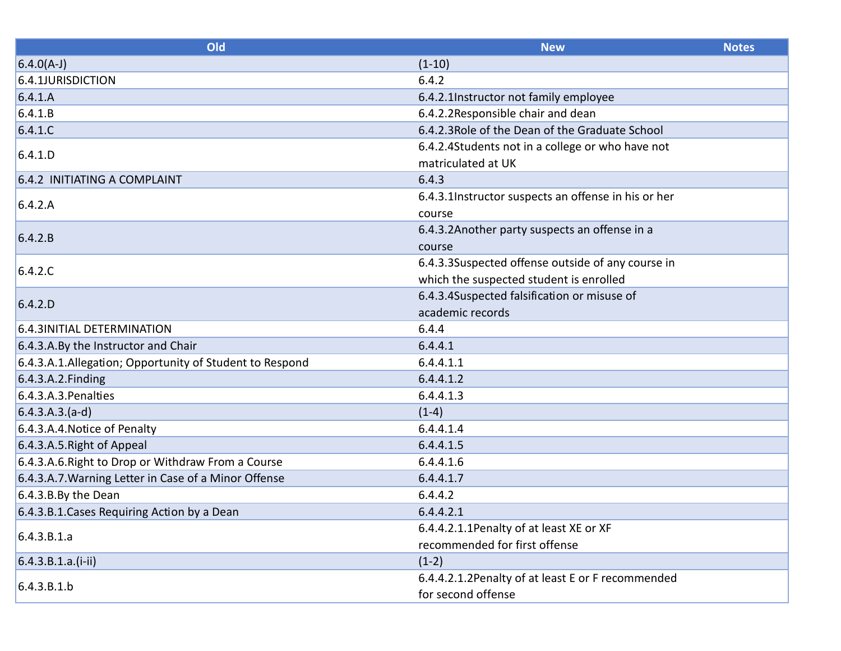| Old                                                     | <b>New</b>                                          | <b>Notes</b> |
|---------------------------------------------------------|-----------------------------------------------------|--------------|
| $6.4.0(A-J)$                                            | $(1-10)$                                            |              |
| 6.4.1JURISDICTION                                       | 6.4.2                                               |              |
| 6.4.1.A                                                 | 6.4.2.1Instructor not family employee               |              |
| 6.4.1.B                                                 | 6.4.2.2Responsible chair and dean                   |              |
| 6.4.1.C                                                 | 6.4.2.3 Role of the Dean of the Graduate School     |              |
| 6.4.1.D                                                 | 6.4.2.4Students not in a college or who have not    |              |
|                                                         | matriculated at UK                                  |              |
| 6.4.2 INITIATING A COMPLAINT                            | 6.4.3                                               |              |
| 6.4.2.A                                                 | 6.4.3.1Instructor suspects an offense in his or her |              |
|                                                         | course                                              |              |
| 6.4.2.B                                                 | 6.4.3.2Another party suspects an offense in a       |              |
|                                                         | course                                              |              |
| 6.4.2.C                                                 | 6.4.3.3Suspected offense outside of any course in   |              |
|                                                         | which the suspected student is enrolled             |              |
| 6.4.2.D                                                 | 6.4.3.4Suspected falsification or misuse of         |              |
|                                                         | academic records                                    |              |
| 6.4.3INITIAL DETERMINATION                              | 6.4.4                                               |              |
| 6.4.3.A.By the Instructor and Chair                     | 6.4.4.1                                             |              |
| 6.4.3.A.1.Allegation; Opportunity of Student to Respond | 6.4.4.1.1                                           |              |
| 6.4.3.A.2. Finding                                      | 6.4.4.1.2                                           |              |
| 6.4.3.A.3. Penalties                                    | 6.4.4.1.3                                           |              |
| $6.4.3.A.3.(a-d)$                                       | $(1-4)$                                             |              |
| 6.4.3.A.4. Notice of Penalty                            | 6.4.4.1.4                                           |              |
| 6.4.3.A.5. Right of Appeal                              | 6.4.4.1.5                                           |              |
| 6.4.3.A.6. Right to Drop or Withdraw From a Course      | 6.4.4.1.6                                           |              |
| 6.4.3.A.7. Warning Letter in Case of a Minor Offense    | 6.4.4.1.7                                           |              |
| 6.4.3.B.By the Dean                                     | 6.4.4.2                                             |              |
| 6.4.3.B.1. Cases Requiring Action by a Dean             | 6.4.4.2.1                                           |              |
| 6.4.3.B.1.a                                             | 6.4.4.2.1.1Penalty of at least XE or XF             |              |
|                                                         | recommended for first offense                       |              |
| $6.4.3.B.1.a.(i-ii)$                                    | $(1-2)$                                             |              |
| 6.4.3.B.1.b                                             | 6.4.4.2.1.2Penalty of at least E or F recommended   |              |
|                                                         | for second offense                                  |              |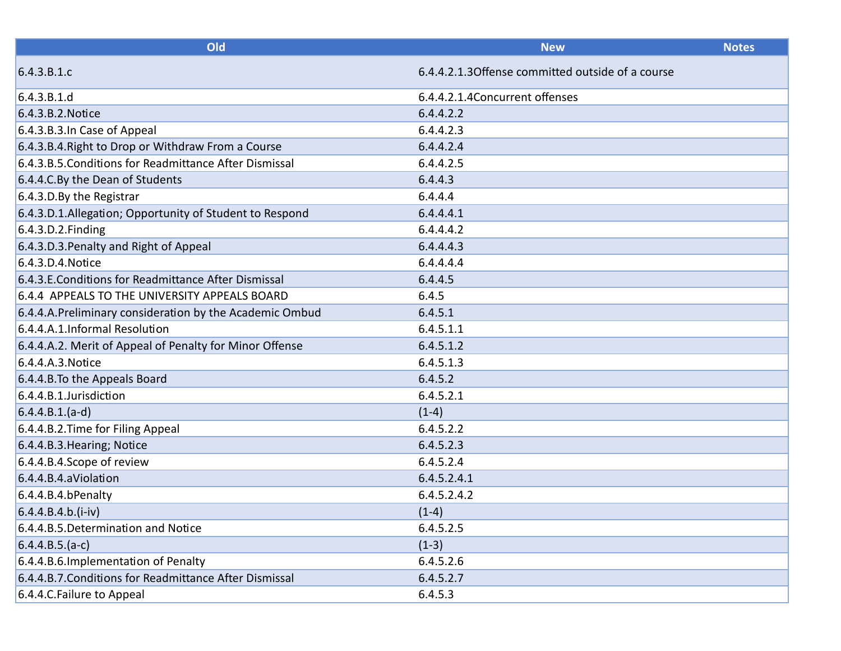| Old                                                     | <b>New</b>                                        | <b>Notes</b> |
|---------------------------------------------------------|---------------------------------------------------|--------------|
| 6.4.3.B.1.c                                             | 6.4.4.2.1.3 Offense committed outside of a course |              |
| 6.4.3.B.1.d                                             | 6.4.4.2.1.4 Concurrent offenses                   |              |
| 6.4.3.B.2. Notice                                       | 6.4.4.2.2                                         |              |
| 6.4.3.B.3.In Case of Appeal                             | 6.4.4.2.3                                         |              |
| 6.4.3.B.4. Right to Drop or Withdraw From a Course      | 6.4.4.2.4                                         |              |
| 6.4.3.B.5. Conditions for Readmittance After Dismissal  | 6.4.4.2.5                                         |              |
| 6.4.4.C. By the Dean of Students                        | 6.4.4.3                                           |              |
| 6.4.3.D.By the Registrar                                | 6.4.4.4                                           |              |
| 6.4.3.D.1.Allegation; Opportunity of Student to Respond | 6.4.4.4.1                                         |              |
| 6.4.3.D.2. Finding                                      | 6.4.4.4.2                                         |              |
| 6.4.3.D.3. Penalty and Right of Appeal                  | 6.4.4.4.3                                         |              |
| $6.4.3.$ D. $4.$ Notice                                 | 6.4.4.4.4                                         |              |
| 6.4.3.E.Conditions for Readmittance After Dismissal     | 6.4.4.5                                           |              |
| 6.4.4 APPEALS TO THE UNIVERSITY APPEALS BOARD           | 6.4.5                                             |              |
| 6.4.4.A.Preliminary consideration by the Academic Ombud | 6.4.5.1                                           |              |
| 6.4.4.A.1.Informal Resolution                           | 6.4.5.1.1                                         |              |
| 6.4.4.A.2. Merit of Appeal of Penalty for Minor Offense | 6.4.5.1.2                                         |              |
| 6.4.4.A.3. Notice                                       | 6.4.5.1.3                                         |              |
| 6.4.4.B. To the Appeals Board                           | 6.4.5.2                                           |              |
| 6.4.4.B.1.Jurisdiction                                  | 6.4.5.2.1                                         |              |
| $6.4.4.B.1.(a-d)$                                       | $(1-4)$                                           |              |
| 6.4.4.B.2. Time for Filing Appeal                       | 6.4.5.2.2                                         |              |
| 6.4.4.B.3. Hearing; Notice                              | 6.4.5.2.3                                         |              |
| 6.4.4.B.4.Scope of review                               | 6.4.5.2.4                                         |              |
| 6.4.4.B.4.aViolation                                    | 6.4.5.2.4.1                                       |              |
| 6.4.4.B.4.bPenalty                                      | 6.4.5.2.4.2                                       |              |
| $6.4.4.B.4.b.(i-iv)$                                    | $(1-4)$                                           |              |
| 6.4.4.B.5.Determination and Notice                      | 6.4.5.2.5                                         |              |
| $6.4.4.B.5.(a-c)$                                       | $(1-3)$                                           |              |
| 6.4.4.B.6. Implementation of Penalty                    | 6.4.5.2.6                                         |              |
| 6.4.4.B.7. Conditions for Readmittance After Dismissal  | 6.4.5.2.7                                         |              |
| 6.4.4.C. Failure to Appeal                              | 6.4.5.3                                           |              |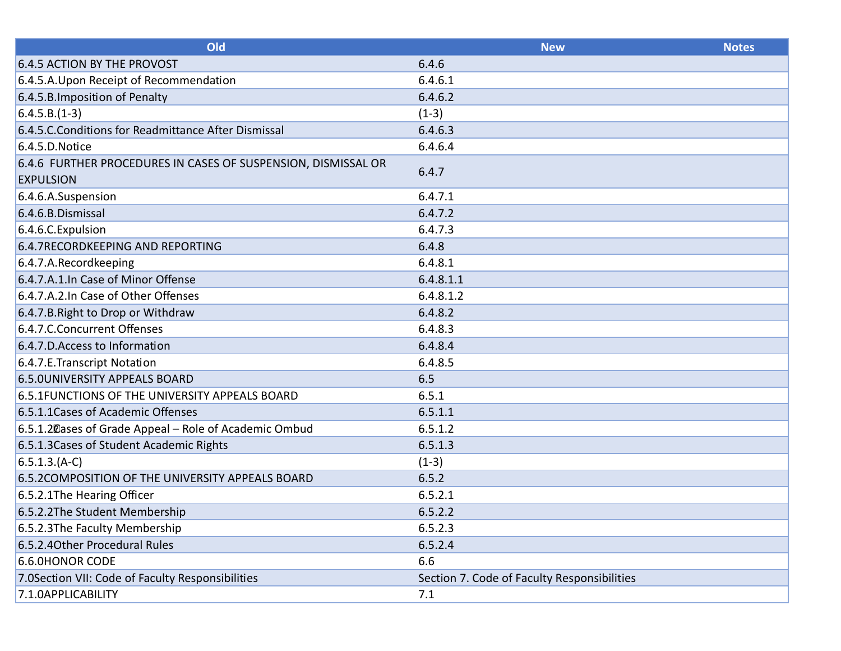| Old                                                           | <b>New</b>                                  | <b>Notes</b> |
|---------------------------------------------------------------|---------------------------------------------|--------------|
| 6.4.5 ACTION BY THE PROVOST                                   | 6.4.6                                       |              |
| 6.4.5.A. Upon Receipt of Recommendation                       | 6.4.6.1                                     |              |
| 6.4.5.B. Imposition of Penalty                                | 6.4.6.2                                     |              |
| $6.4.5.B.(1-3)$                                               | $(1-3)$                                     |              |
| 6.4.5.C. Conditions for Readmittance After Dismissal          | 6.4.6.3                                     |              |
| 6.4.5.D. Notice                                               | 6.4.6.4                                     |              |
| 6.4.6 FURTHER PROCEDURES IN CASES OF SUSPENSION, DISMISSAL OR | 6.4.7                                       |              |
| <b>EXPULSION</b>                                              |                                             |              |
| 6.4.6.A.Suspension                                            | 6.4.7.1                                     |              |
| 6.4.6.B.Dismissal                                             | 6.4.7.2                                     |              |
| 6.4.6.C. Expulsion                                            | 6.4.7.3                                     |              |
| 6.4.7RECORDKEEPING AND REPORTING                              | 6.4.8                                       |              |
| 6.4.7.A.Recordkeeping                                         | 6.4.8.1                                     |              |
| 6.4.7.A.1.In Case of Minor Offense                            | 6.4.8.1.1                                   |              |
| 6.4.7.A.2.In Case of Other Offenses                           | 6.4.8.1.2                                   |              |
| 6.4.7.B. Right to Drop or Withdraw                            | 6.4.8.2                                     |              |
| 6.4.7.C.Concurrent Offenses                                   | 6.4.8.3                                     |              |
| 6.4.7.D. Access to Information                                | 6.4.8.4                                     |              |
| 6.4.7.E.Transcript Notation                                   | 6.4.8.5                                     |              |
| <b>6.5.0UNIVERSITY APPEALS BOARD</b>                          | 6.5                                         |              |
| 6.5.1 FUNCTIONS OF THE UNIVERSITY APPEALS BOARD               | 6.5.1                                       |              |
| 6.5.1.1 Cases of Academic Offenses                            | 6.5.1.1                                     |              |
| 6.5.1.2 Cases of Grade Appeal - Role of Academic Ombud        | 6.5.1.2                                     |              |
| 6.5.1.3 Cases of Student Academic Rights                      | 6.5.1.3                                     |              |
| $6.5.1.3(A-C)$                                                | $(1-3)$                                     |              |
| 6.5.2 COMPOSITION OF THE UNIVERSITY APPEALS BOARD             | 6.5.2                                       |              |
| 6.5.2.1The Hearing Officer                                    | 6.5.2.1                                     |              |
| 6.5.2.2The Student Membership                                 | 6.5.2.2                                     |              |
| 6.5.2.3The Faculty Membership                                 | 6.5.2.3                                     |              |
| 6.5.2.4 Other Procedural Rules                                | 6.5.2.4                                     |              |
| 6.6.0HONOR CODE                                               | 6.6                                         |              |
| 7.0Section VII: Code of Faculty Responsibilities              | Section 7. Code of Faculty Responsibilities |              |
| 7.1.0APPLICABILITY                                            | 7.1                                         |              |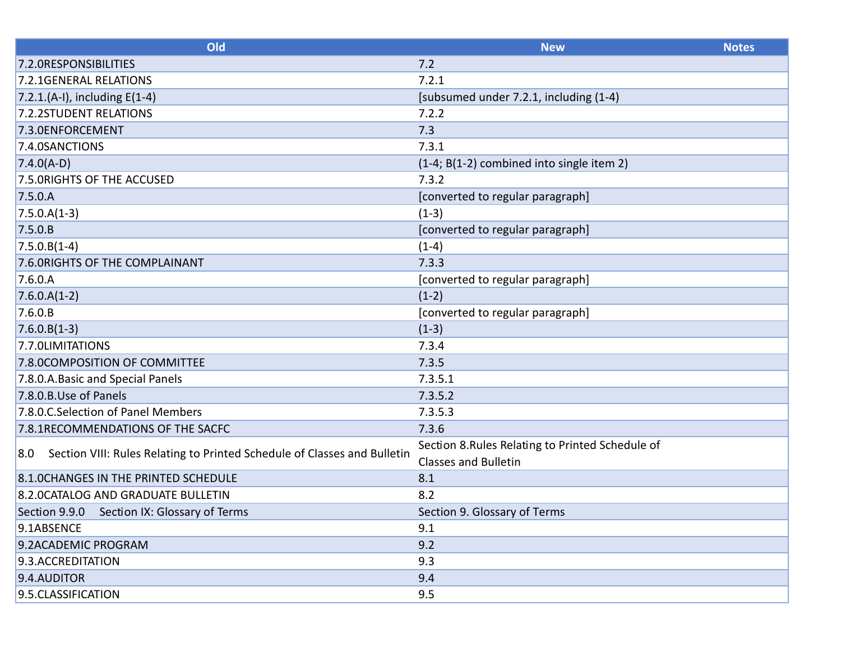| Old                                                                             | <b>New</b>                                       | <b>Notes</b> |
|---------------------------------------------------------------------------------|--------------------------------------------------|--------------|
| 7.2.0RESPONSIBILITIES                                                           | 7.2                                              |              |
| 7.2.1GENERAL RELATIONS                                                          | 7.2.1                                            |              |
| 7.2.1.(A-I), including $E(1-4)$                                                 | [subsumed under 7.2.1, including (1-4)           |              |
| 7.2.2STUDENT RELATIONS                                                          | 7.2.2                                            |              |
| 7.3.0ENFORCEMENT                                                                | 7.3                                              |              |
| 7.4.0SANCTIONS                                                                  | 7.3.1                                            |              |
| $7.4.0(A-D)$                                                                    | (1-4; B(1-2) combined into single item 2)        |              |
| 7.5.0RIGHTS OF THE ACCUSED                                                      | 7.3.2                                            |              |
| 7.5.0.A                                                                         | [converted to regular paragraph]                 |              |
| $7.5.0.A(1-3)$                                                                  | $(1-3)$                                          |              |
| 7.5.0.B                                                                         | [converted to regular paragraph]                 |              |
| $7.5.0.B(1-4)$                                                                  | $(1-4)$                                          |              |
| 7.6.0RIGHTS OF THE COMPLAINANT                                                  | 7.3.3                                            |              |
| 7.6.0.A                                                                         | [converted to regular paragraph]                 |              |
| $7.6.0.A(1-2)$                                                                  | $(1-2)$                                          |              |
| 7.6.0.B                                                                         | [converted to regular paragraph]                 |              |
| $7.6.0.B(1-3)$                                                                  | $(1-3)$                                          |              |
| 7.7.0LIMITATIONS                                                                | 7.3.4                                            |              |
| 7.8.0COMPOSITION OF COMMITTEE                                                   | 7.3.5                                            |              |
| 7.8.0.A. Basic and Special Panels                                               | 7.3.5.1                                          |              |
| 7.8.0.B.Use of Panels                                                           | 7.3.5.2                                          |              |
| 7.8.0.C.Selection of Panel Members                                              | 7.3.5.3                                          |              |
| 7.8.1RECOMMENDATIONS OF THE SACFC                                               | 7.3.6                                            |              |
| Section VIII: Rules Relating to Printed Schedule of Classes and Bulletin<br>8.0 | Section 8. Rules Relating to Printed Schedule of |              |
|                                                                                 | <b>Classes and Bulletin</b>                      |              |
| 8.1.0CHANGES IN THE PRINTED SCHEDULE                                            | 8.1                                              |              |
| 8.2.0 CATALOG AND GRADUATE BULLETIN                                             | 8.2                                              |              |
| Section 9.9.0 Section IX: Glossary of Terms                                     | Section 9. Glossary of Terms                     |              |
| 9.1ABSENCE                                                                      | 9.1                                              |              |
| 9.2ACADEMIC PROGRAM                                                             | 9.2                                              |              |
| 9.3.ACCREDITATION                                                               | 9.3                                              |              |
| 9.4.AUDITOR                                                                     | 9.4                                              |              |
| 9.5. CLASSIFICATION                                                             | 9.5                                              |              |